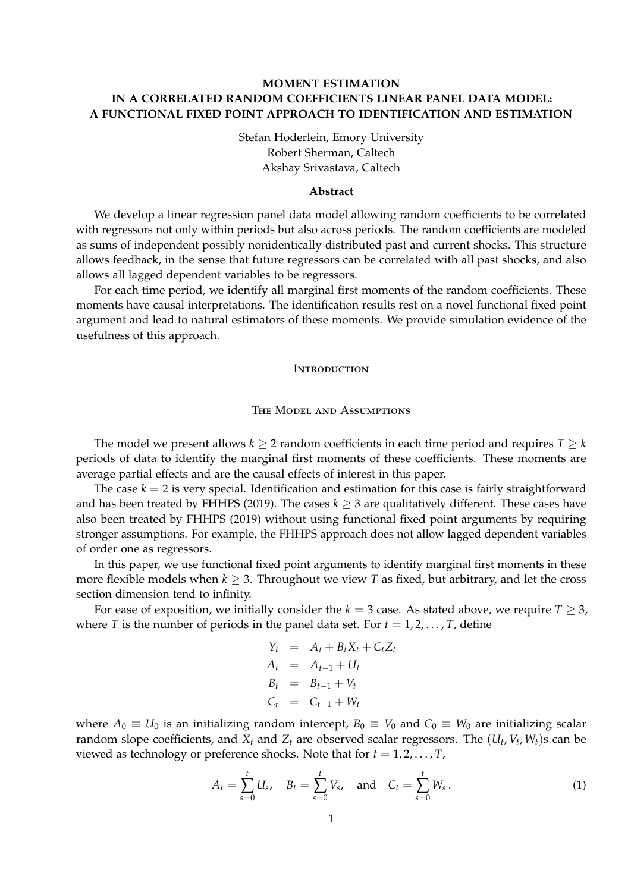# **MOMENT ESTIMATION IN A CORRELATED RANDOM COEFFICIENTS LINEAR PANEL DATA MODEL: A FUNCTIONAL FIXED POINT APPROACH TO IDENTIFICATION AND ESTIMATION**

Stefan Hoderlein, Emory University Robert Sherman, Caltech Akshay Srivastava, Caltech

#### **Abstract**

We develop a linear regression panel data model allowing random coefficients to be correlated with regressors not only within periods but also across periods. The random coefficients are modeled as sums of independent possibly nonidentically distributed past and current shocks. This structure allows feedback, in the sense that future regressors can be correlated with all past shocks, and also allows all lagged dependent variables to be regressors.

For each time period, we identify all marginal first moments of the random coefficients. These moments have causal interpretations. The identification results rest on a novel functional fixed point argument and lead to natural estimators of these moments. We provide simulation evidence of the usefulness of this approach.

#### **INTRODUCTION**

# The Model and Assumptions

The model we present allows  $k \geq 2$  random coefficients in each time period and requires  $T \geq k$ periods of data to identify the marginal first moments of these coefficients. These moments are average partial effects and are the causal effects of interest in this paper.

The case  $k = 2$  is very special. Identification and estimation for this case is fairly straightforward and has been treated by FHHPS (2019). The cases  $k \geq 3$  are qualitatively different. These cases have also been treated by FHHPS (2019) without using functional fixed point arguments by requiring stronger assumptions. For example, the FHHPS approach does not allow lagged dependent variables of order one as regressors.

In this paper, we use functional fixed point arguments to identify marginal first moments in these more flexible models when  $k \geq 3$ . Throughout we view *T* as fixed, but arbitrary, and let the cross section dimension tend to infinity.

For ease of exposition, we initially consider the  $k = 3$  case. As stated above, we require  $T \geq 3$ , where *T* is the number of periods in the panel data set. For  $t = 1, 2, \ldots, T$ , define

$$
Y_t = A_t + B_t X_t + C_t Z_t
$$
  
\n
$$
A_t = A_{t-1} + U_t
$$
  
\n
$$
B_t = B_{t-1} + V_t
$$
  
\n
$$
C_t = C_{t-1} + W_t
$$

where  $A_0 \equiv U_0$  is an initializing random intercept,  $B_0 \equiv V_0$  and  $C_0 \equiv W_0$  are initializing scalar random slope coefficients, and  $X_t$  and  $Z_t$  are observed scalar regressors. The  $(U_t, V_t, W_t)$ s can be viewed as technology or preference shocks. Note that for  $t = 1, 2, \ldots, T$ ,

$$
A_t = \sum_{s=0}^t U_s, \quad B_t = \sum_{s=0}^t V_s, \quad \text{and} \quad C_t = \sum_{s=0}^t W_s.
$$
 (1)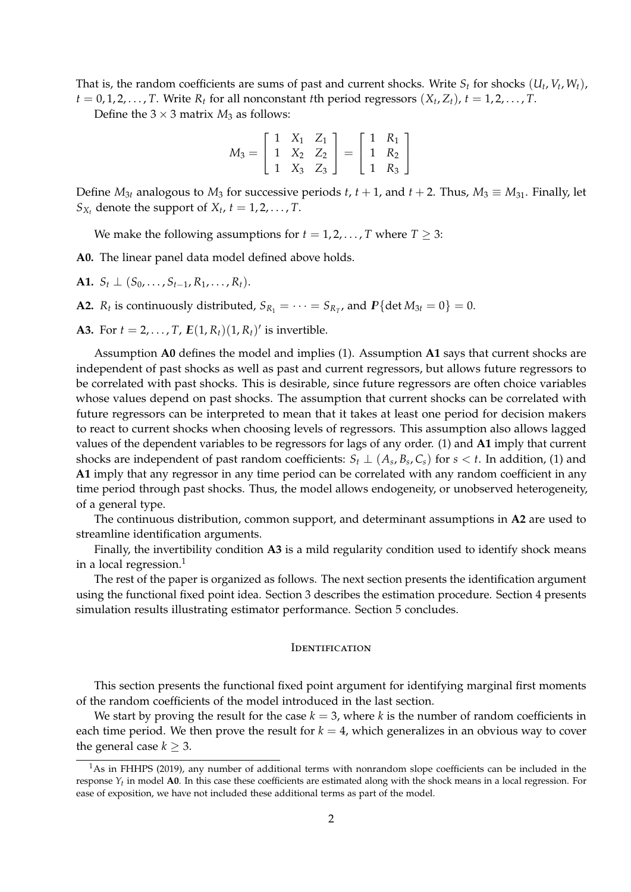That is, the random coefficients are sums of past and current shocks. Write  $S_t$  for shocks  $(U_t, V_t, W_t)$ ,  $t = 0, 1, 2, \ldots, T$ . Write  $R_t$  for all nonconstant *t*th period regressors  $(X_t, Z_t)$ ,  $t = 1, 2, \ldots, T$ .

Define the  $3 \times 3$  matrix  $M_3$  as follows:

$$
M_3 = \left[ \begin{array}{ccc} 1 & X_1 & Z_1 \\ 1 & X_2 & Z_2 \\ 1 & X_3 & Z_3 \end{array} \right] = \left[ \begin{array}{ccc} 1 & R_1 \\ 1 & R_2 \\ 1 & R_3 \end{array} \right]
$$

Define  $M_{3t}$  analogous to  $M_3$  for successive periods  $t$ ,  $t + 1$ , and  $t + 2$ . Thus,  $M_3 \equiv M_{31}$ . Finally, let  $S_{X_t}$  denote the support of  $X_t$ ,  $t = 1, 2, \ldots, T$ .

We make the following assumptions for  $t = 1, 2, \ldots, T$  where  $T \geq 3$ :

**A0.** The linear panel data model defined above holds.

**A1.**  $S_t$  ⊥ ( $S_0$ , . . . ,  $S_{t-1}$ ,  $R_1$ , . . . ,  $R_t$ ).

**A2.**  $R_t$  is continuously distributed,  $S_{R_1} = \cdots = S_{R_T}$ , and  $P\{\text{det }M_{3t} = 0\} = 0$ .

**A3.** For *t* = 2, . . . , *T*,  $E(1, R_t)(1, R_t)'$  is invertible.

Assumption **A0** defines the model and implies (1). Assumption **A1** says that current shocks are independent of past shocks as well as past and current regressors, but allows future regressors to be correlated with past shocks. This is desirable, since future regressors are often choice variables whose values depend on past shocks. The assumption that current shocks can be correlated with future regressors can be interpreted to mean that it takes at least one period for decision makers to react to current shocks when choosing levels of regressors. This assumption also allows lagged values of the dependent variables to be regressors for lags of any order. (1) and **A1** imply that current shocks are independent of past random coefficients:  $S_t \perp (A_s, B_s, C_s)$  for  $s < t$ . In addition, (1) and **A1** imply that any regressor in any time period can be correlated with any random coefficient in any time period through past shocks. Thus, the model allows endogeneity, or unobserved heterogeneity, of a general type.

The continuous distribution, common support, and determinant assumptions in **A2** are used to streamline identification arguments.

Finally, the invertibility condition **A3** is a mild regularity condition used to identify shock means in a local regression. $<sup>1</sup>$ </sup>

The rest of the paper is organized as follows. The next section presents the identification argument using the functional fixed point idea. Section 3 describes the estimation procedure. Section 4 presents simulation results illustrating estimator performance. Section 5 concludes.

#### **IDENTIFICATION**

This section presents the functional fixed point argument for identifying marginal first moments of the random coefficients of the model introduced in the last section.

We start by proving the result for the case  $k = 3$ , where  $k$  is the number of random coefficients in each time period. We then prove the result for  $k = 4$ , which generalizes in an obvious way to cover the general case  $k \geq 3$ .

<sup>1</sup>As in FHHPS (2019), any number of additional terms with nonrandom slope coefficients can be included in the response *Yt* in model **A0**. In this case these coefficients are estimated along with the shock means in a local regression. For ease of exposition, we have not included these additional terms as part of the model.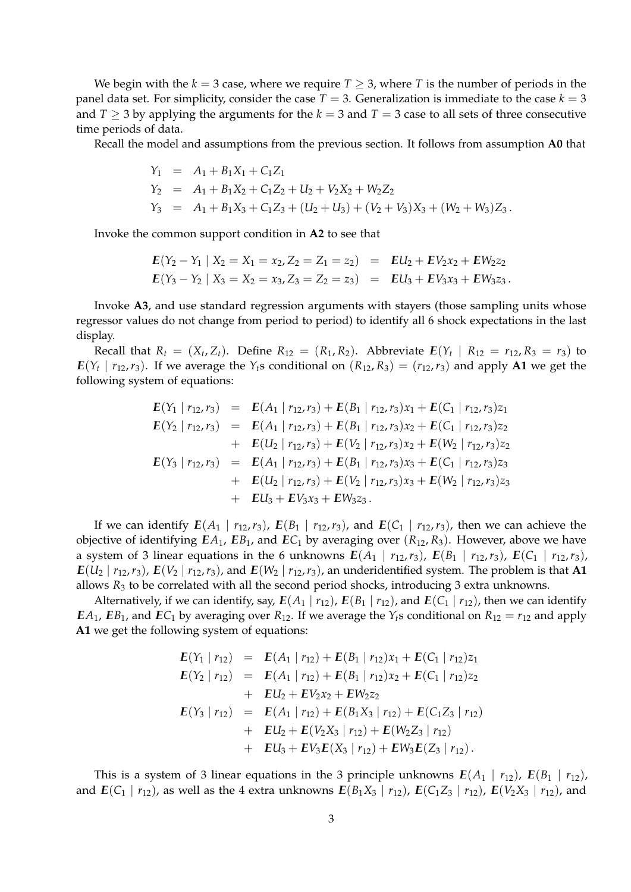We begin with the  $k = 3$  case, where we require  $T \geq 3$ , where *T* is the number of periods in the panel data set. For simplicity, consider the case  $T = 3$ . Generalization is immediate to the case  $k = 3$ and  $T \geq 3$  by applying the arguments for the  $k = 3$  and  $T = 3$  case to all sets of three consecutive time periods of data.

Recall the model and assumptions from the previous section. It follows from assumption **A0** that

$$
Y_1 = A_1 + B_1 X_1 + C_1 Z_1
$$
  
\n
$$
Y_2 = A_1 + B_1 X_2 + C_1 Z_2 + U_2 + V_2 X_2 + W_2 Z_2
$$
  
\n
$$
Y_3 = A_1 + B_1 X_3 + C_1 Z_3 + (U_2 + U_3) + (V_2 + V_3) X_3 + (W_2 + W_3) Z_3.
$$

Invoke the common support condition in **A2** to see that

$$
E(Y_2 - Y_1 | X_2 = X_1 = x_2, Z_2 = Z_1 = z_2) = EU_2 + EV_2x_2 + EW_2z_2
$$
  

$$
E(Y_3 - Y_2 | X_3 = X_2 = x_3, Z_3 = Z_2 = z_3) = EU_3 + EV_3x_3 + EW_3z_3.
$$

Invoke **A3**, and use standard regression arguments with stayers (those sampling units whose regressor values do not change from period to period) to identify all 6 shock expectations in the last display.

Recall that  $R_t = (X_t, Z_t)$ . Define  $R_{12} = (R_1, R_2)$ . Abbreviate  $E(Y_t | R_{12} = r_{12}, R_3 = r_3)$  to  $E(Y_t | r_{12}, r_3)$ . If we average the  $Y_t$ s conditional on  $(R_{12}, R_3) = (r_{12}, r_3)$  and apply **A1** we get the following system of equations:

$$
E(Y_1 | r_{12}, r_3) = E(A_1 | r_{12}, r_3) + E(B_1 | r_{12}, r_3)x_1 + E(C_1 | r_{12}, r_3)z_1
$$
  
\n
$$
E(Y_2 | r_{12}, r_3) = E(A_1 | r_{12}, r_3) + E(B_1 | r_{12}, r_3)x_2 + E(C_1 | r_{12}, r_3)z_2
$$
  
\n
$$
+ E(U_2 | r_{12}, r_3) + E(V_2 | r_{12}, r_3)x_2 + E(W_2 | r_{12}, r_3)z_2
$$
  
\n
$$
E(Y_3 | r_{12}, r_3) = E(A_1 | r_{12}, r_3) + E(B_1 | r_{12}, r_3)x_3 + E(C_1 | r_{12}, r_3)z_3
$$
  
\n
$$
+ E(U_2 | r_{12}, r_3) + E(V_2 | r_{12}, r_3)x_3 + E(W_2 | r_{12}, r_3)z_3
$$
  
\n
$$
+ EU_3 + EV_3x_3 + EW_3z_3.
$$

If we can identify  $E(A_1 | r_{12}, r_3)$ ,  $E(B_1 | r_{12}, r_3)$ , and  $E(C_1 | r_{12}, r_3)$ , then we can achieve the objective of identifying  $EA_1$ ,  $EB_1$ , and  $EC_1$  by averaging over  $(R_{12}, R_3)$ . However, above we have a system of 3 linear equations in the 6 unknowns  $E(A_1 | r_{12}, r_3)$ ,  $E(B_1 | r_{12}, r_3)$ ,  $E(C_1 | r_{12}, r_3)$ ,  $E(U_2 | r_{12}, r_3)$ ,  $E(V_2 | r_{12}, r_3)$ , and  $E(W_2 | r_{12}, r_3)$ , an underidentified system. The problem is that **A1** allows *R*<sup>3</sup> to be correlated with all the second period shocks, introducing 3 extra unknowns.

Alternatively, if we can identify, say,  $E(A_1 | r_{12})$ ,  $E(B_1 | r_{12})$ , and  $E(C_1 | r_{12})$ , then we can identify *EA*<sub>1</sub>, *EB*<sub>1</sub>, and *EC*<sub>1</sub> by averaging over *R*<sub>12</sub>. If we average the *Y*<sub>*t*</sub>s conditional on *R*<sub>12</sub> = *r*<sub>12</sub> and apply **A1** we get the following system of equations:

$$
E(Y_1 | r_{12}) = E(A_1 | r_{12}) + E(B_1 | r_{12})x_1 + E(C_1 | r_{12})z_1
$$
  
\n
$$
E(Y_2 | r_{12}) = E(A_1 | r_{12}) + E(B_1 | r_{12})x_2 + E(C_1 | r_{12})z_2
$$
  
\n
$$
+ EU_2 + EV_2x_2 + EW_2z_2
$$
  
\n
$$
E(Y_3 | r_{12}) = E(A_1 | r_{12}) + E(B_1X_3 | r_{12}) + E(C_1Z_3 | r_{12})
$$
  
\n
$$
+ EU_2 + E(V_2X_3 | r_{12}) + E(W_2Z_3 | r_{12})
$$
  
\n
$$
+ EU_3 + EV_3E(X_3 | r_{12}) + EW_3E(Z_3 | r_{12}).
$$

This is a system of 3 linear equations in the 3 principle unknowns  $E(A_1 | r_{12})$ ,  $E(B_1 | r_{12})$ , and  $E(C_1 | r_{12})$ , as well as the 4 extra unknowns  $E(B_1 X_3 | r_{12})$ ,  $E(C_1 Z_3 | r_{12})$ ,  $E(V_2 X_3 | r_{12})$ , and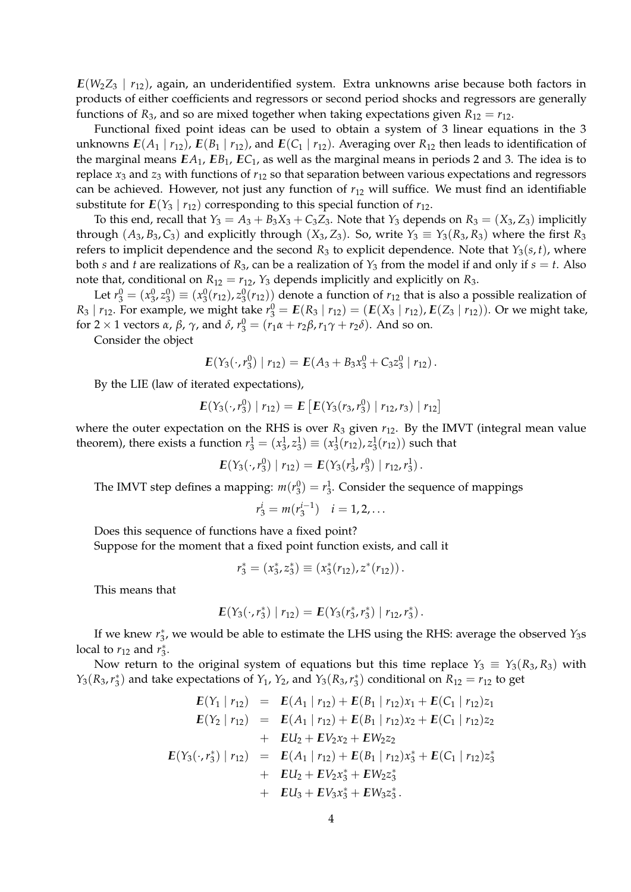*IE*(*W*2*Z*<sup>3</sup> | *r*12), again, an underidentified system. Extra unknowns arise because both factors in products of either coefficients and regressors or second period shocks and regressors are generally functions of  $R_3$ , and so are mixed together when taking expectations given  $R_{12} = r_{12}$ .

Functional fixed point ideas can be used to obtain a system of 3 linear equations in the 3 unknowns  $E(A_1 | r_{12})$ ,  $E(B_1 | r_{12})$ , and  $E(C_1 | r_{12})$ . Averaging over  $R_{12}$  then leads to identification of the marginal means  $EA_1$ ,  $EB_1$ ,  $EC_1$ , as well as the marginal means in periods 2 and 3. The idea is to replace *x*<sup>3</sup> and *z*<sup>3</sup> with functions of *r*<sup>12</sup> so that separation between various expectations and regressors can be achieved. However, not just any function of *r*<sup>12</sup> will suffice. We must find an identifiable substitute for  $E(Y_3 | r_{12})$  corresponding to this special function of  $r_{12}$ .

To this end, recall that  $Y_3 = A_3 + B_3X_3 + C_3Z_3$ . Note that  $Y_3$  depends on  $R_3 = (X_3, Z_3)$  implicitly through  $(A_3, B_3, C_3)$  and explicitly through  $(X_3, Z_3)$ . So, write  $Y_3 \equiv Y_3(R_3, R_3)$  where the first  $R_3$ refers to implicit dependence and the second  $R_3$  to explicit dependence. Note that  $Y_3(s,t)$ , where both *s* and *t* are realizations of  $R_3$ , can be a realization of  $Y_3$  from the model if and only if  $s = t$ . Also note that, conditional on  $R_{12} = r_{12}$ ,  $Y_3$  depends implicitly and explicitly on  $R_3$ .

Let  $r_3^0 = (x_3^0, z_3^0) \equiv (x_3^0(r_{12}), z_3^0(r_{12}))$  denote a function of  $r_{12}$  that is also a possible realization of *R*<sub>3</sub> | *r*<sub>12</sub>. For example, we might take  $r_3^0 = E(R_3 | r_{12}) = (E(X_3 | r_{12}), E(Z_3 | r_{12}))$ . Or we might take, for 2 × 1 vectors *α*, *β*,  $\gamma$ , and *δ*,  $r_3^0 = (r_1 \alpha + r_2 \beta, r_1 \gamma + r_2 \delta)$ . And so on.

Consider the object

$$
E(Y_3(\cdot, r_3^0) | r_{12}) = E(A_3 + B_3x_3^0 + C_3z_3^0 | r_{12}).
$$

By the LIE (law of iterated expectations),

$$
E(Y_3(\cdot, r_3^0) | r_{12}) = E\left[E(Y_3(r_3, r_3^0) | r_{12}, r_3) | r_{12}\right]
$$

where the outer expectation on the RHS is over  $R_3$  given  $r_{12}$ . By the IMVT (integral mean value theorem), there exists a function  $r_3^1 = (x_3^1, z_3^1) \equiv (x_3^1(r_{12}), z_3^1(r_{12}))$  such that

$$
E(Y_3(\cdot,r_3^0) | r_{12}) = E(Y_3(r_3^1,r_3^0) | r_{12},r_3^1).
$$

The IMVT step defines a mapping:  $m(r_3^0) = r_3^1$ . Consider the sequence of mappings

$$
r_3^i = m(r_3^{i-1}) \quad i = 1, 2, \dots
$$

Does this sequence of functions have a fixed point?

Suppose for the moment that a fixed point function exists, and call it

$$
r_3^* = (x_3^*, z_3^*) \equiv (x_3^*(r_{12}), z^*(r_{12})).
$$

This means that

$$
E(Y_3(\cdot,r_3^*) | r_{12}) = E(Y_3(r_3^*,r_3^*) | r_{12},r_3^*)
$$

If we knew  $r_3^*$ , we would be able to estimate the LHS using the RHS: average the observed *Y*<sub>3</sub>s local to  $r_{12}$  and  $r_3^*$ .

Now return to the original system of equations but this time replace  $Y_3 \equiv Y_3(R_3, R_3)$  with *Y*<sub>3</sub>( $R_3$ ,  $r_3^*$ ) and take expectations of *Y*<sub>1</sub>, *Y*<sub>2</sub>, and *Y*<sub>3</sub>( $R_3$ ,  $r_3^*$ ) conditional on  $R_{12} = r_{12}$  to get

$$
E(Y_1 | r_{12}) = E(A_1 | r_{12}) + E(B_1 | r_{12})x_1 + E(C_1 | r_{12})z_1
$$
  
\n
$$
E(Y_2 | r_{12}) = E(A_1 | r_{12}) + E(B_1 | r_{12})x_2 + E(C_1 | r_{12})z_2
$$
  
\n
$$
+ EU_2 + EV_2x_2 + EW_2z_2
$$
  
\n
$$
E(Y_3(\cdot, r_3^*) | r_{12}) = E(A_1 | r_{12}) + E(B_1 | r_{12})x_3^* + E(C_1 | r_{12})z_3^*
$$
  
\n
$$
+ EU_2 + EV_2x_3^* + EW_2z_3^*
$$
  
\n
$$
+ EU_3 + EV_3x_3^* + EW_3z_3^*.
$$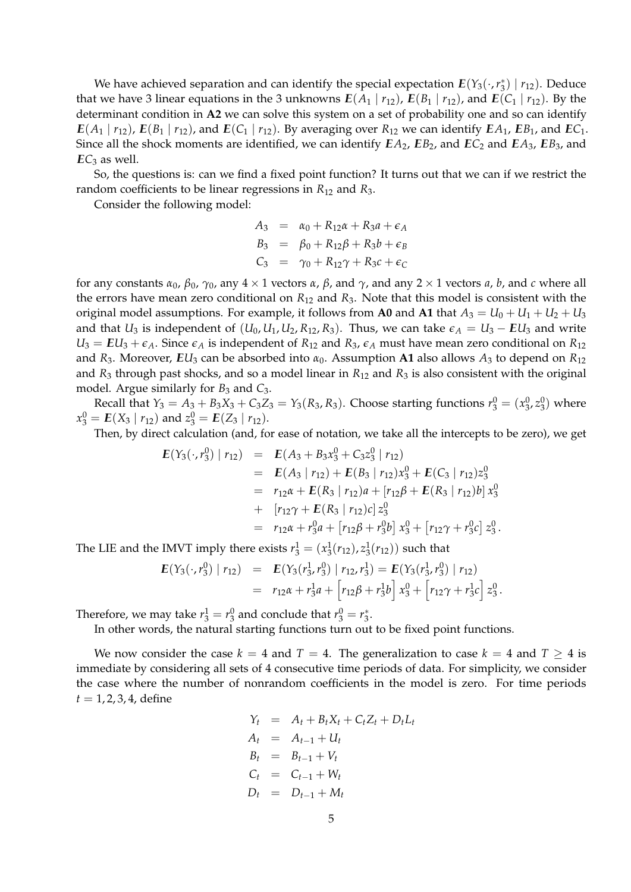We have achieved separation and can identify the special expectation  $E(Y_3(\cdot,r_3^*) | r_{12})$ . Deduce that we have 3 linear equations in the 3 unknowns  $E(A_1 | r_{12})$ ,  $E(B_1 | r_{12})$ , and  $E(C_1 | r_{12})$ . By the determinant condition in **A2** we can solve this system on a set of probability one and so can identify  $E(A_1 | r_{12})$ ,  $E(B_1 | r_{12})$ , and  $E(C_1 | r_{12})$ . By averaging over  $R_{12}$  we can identify  $EA_1$ ,  $EB_1$ , and  $EC_1$ . Since all the shock moments are identified, we can identify  $EA_2$ ,  $EB_2$ , and  $EC_2$  and  $EA_3$ ,  $EB_3$ , and  $EC<sub>3</sub>$  as well.

So, the questions is: can we find a fixed point function? It turns out that we can if we restrict the random coefficients to be linear regressions in *R*<sup>12</sup> and *R*3.

Consider the following model:

$$
A_3 = \alpha_0 + R_{12}\alpha + R_{3}a + \epsilon_A
$$
  
\n
$$
B_3 = \beta_0 + R_{12}\beta + R_{3}b + \epsilon_B
$$
  
\n
$$
C_3 = \gamma_0 + R_{12}\gamma + R_{3}c + \epsilon_C
$$

for any constants  $α_0$ ,  $β_0$ ,  $γ_0$ , any  $4 \times 1$  vectors  $α$ ,  $β$ , and  $γ$ , and any  $2 \times 1$  vectors  $a$ ,  $b$ , and  $c$  where all the errors have mean zero conditional on *R*<sup>12</sup> and *R*3. Note that this model is consistent with the original model assumptions. For example, it follows from **A0** and **A1** that  $A_3 = U_0 + U_1 + U_2 + U_3$ and that *U*<sub>3</sub> is independent of  $(U_0, U_1, U_2, R_{12}, R_3)$ . Thus, we can take  $\epsilon_A = U_3 - EU_3$  and write  $U_3 = EU_3 + \epsilon_A$ . Since  $\epsilon_A$  is independent of  $R_{12}$  and  $R_3$ ,  $\epsilon_A$  must have mean zero conditional on  $R_{12}$ and *R*3. Moreover, *IEU*<sup>3</sup> can be absorbed into *α*0. Assumption **A1** also allows *A*<sup>3</sup> to depend on *R*<sup>12</sup> and  $R_3$  through past shocks, and so a model linear in  $R_{12}$  and  $R_3$  is also consistent with the original model. Argue similarly for  $B_3$  and  $C_3$ .

Recall that  $Y_3 = A_3 + B_3X_3 + C_3Z_3 = Y_3(R_3, R_3)$ . Choose starting functions  $r_3^0 = (x_3^0, z_3^0)$  where  $x_3^0 = E(X_3 | r_{12})$  and  $z_3^0 = E(Z_3 | r_{12}).$ 

Then, by direct calculation (and, for ease of notation, we take all the intercepts to be zero), we get

$$
E(Y_3(\cdot, r_3^0) | r_{12}) = E(A_3 + B_3x_3^0 + C_3z_3^0 | r_{12})
$$
  
\n
$$
= E(A_3 | r_{12}) + E(B_3 | r_{12})x_3^0 + E(C_3 | r_{12})z_3^0
$$
  
\n
$$
= r_{12}\alpha + E(R_3 | r_{12})a + [r_{12}\beta + E(R_3 | r_{12})b]x_3^0
$$
  
\n
$$
+ [r_{12}\gamma + E(R_3 | r_{12})c]z_3^0
$$
  
\n
$$
= r_{12}\alpha + r_3^0a + [r_{12}\beta + r_3^0b]x_3^0 + [r_{12}\gamma + r_3^0c]z_3^0.
$$

The LIE and the IMVT imply there exists  $r_3^1 = (x_3^1(r_{12}), z_3^1(r_{12}))$  such that

$$
E(Y_3(\cdot, r_3^0) | r_{12}) = E(Y_3(r_3^1, r_3^0) | r_{12}, r_3^1) = E(Y_3(r_3^1, r_3^0) | r_{12})
$$
  
=  $r_{12}\alpha + r_3^1 a + [r_{12}\beta + r_3^1 b] x_3^0 + [r_{12}\gamma + r_3^1 c] z_3^0.$ 

Therefore, we may take  $r_3^1 = r_3^0$  and conclude that  $r_3^0 = r_3^*$ .

In other words, the natural starting functions turn out to be fixed point functions.

We now consider the case  $k = 4$  and  $T = 4$ . The generalization to case  $k = 4$  and  $T \ge 4$  is immediate by considering all sets of 4 consecutive time periods of data. For simplicity, we consider the case where the number of nonrandom coefficients in the model is zero. For time periods  $t = 1, 2, 3, 4$ , define

$$
Y_t = A_t + B_t X_t + C_t Z_t + D_t L_t
$$
  
\n
$$
A_t = A_{t-1} + U_t
$$
  
\n
$$
B_t = B_{t-1} + V_t
$$
  
\n
$$
C_t = C_{t-1} + W_t
$$
  
\n
$$
D_t = D_{t-1} + M_t
$$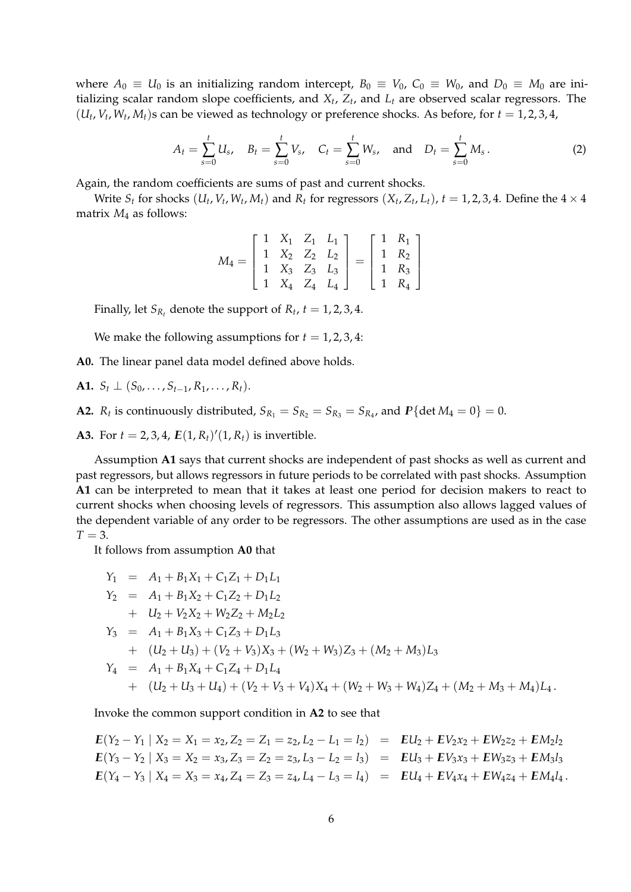where  $A_0 \equiv U_0$  is an initializing random intercept,  $B_0 \equiv V_0$ ,  $C_0 \equiv W_0$ , and  $D_0 \equiv M_0$  are initializing scalar random slope coefficients, and *X<sup>t</sup>* , *Z<sup>t</sup>* , and *L<sup>t</sup>* are observed scalar regressors. The  $(U_t, V_t, W_t, M_t)$ s can be viewed as technology or preference shocks. As before, for  $t = 1, 2, 3, 4$ ,

$$
A_t = \sum_{s=0}^t U_s, \quad B_t = \sum_{s=0}^t V_s, \quad C_t = \sum_{s=0}^t W_s, \quad \text{and} \quad D_t = \sum_{s=0}^t M_s.
$$
 (2)

Again, the random coefficients are sums of past and current shocks.

Write  $S_t$  for shocks  $(U_t, V_t, W_t, M_t)$  and  $R_t$  for regressors  $(X_t, Z_t, L_t)$ ,  $t = 1, 2, 3, 4$ . Define the  $4 \times 4$ matrix  $M_4$  as follows:

$$
M_4 = \begin{bmatrix} 1 & X_1 & Z_1 & L_1 \\ 1 & X_2 & Z_2 & L_2 \\ 1 & X_3 & Z_3 & L_3 \\ 1 & X_4 & Z_4 & L_4 \end{bmatrix} = \begin{bmatrix} 1 & R_1 \\ 1 & R_2 \\ 1 & R_3 \\ 1 & R_4 \end{bmatrix}
$$

Finally, let  $S_{R_t}$  denote the support of  $R_t$ ,  $t = 1, 2, 3, 4$ .

We make the following assumptions for  $t = 1, 2, 3, 4$ :

**A0.** The linear panel data model defined above holds.

**A1.**  $S_t$  ⊥ ( $S_0$ , . . . ,  $S_{t-1}$ ,  $R_1$ , . . . ,  $R_t$ ).

**A2.**  $R_t$  is continuously distributed,  $S_{R_1} = S_{R_2} = S_{R_3} = S_{R_4}$ , and  $P\{\text{det }M_4 = 0\} = 0$ .

**A3.** For  $t = 2, 3, 4$ ,  $E(1, R_t)'(1, R_t)$  is invertible.

Assumption **A1** says that current shocks are independent of past shocks as well as current and past regressors, but allows regressors in future periods to be correlated with past shocks. Assumption **A1** can be interpreted to mean that it takes at least one period for decision makers to react to current shocks when choosing levels of regressors. This assumption also allows lagged values of the dependent variable of any order to be regressors. The other assumptions are used as in the case  $T = 3$ .

It follows from assumption **A0** that

$$
Y_1 = A_1 + B_1 X_1 + C_1 Z_1 + D_1 L_1
$$
  
\n
$$
Y_2 = A_1 + B_1 X_2 + C_1 Z_2 + D_1 L_2
$$
  
\n
$$
+ U_2 + V_2 X_2 + W_2 Z_2 + M_2 L_2
$$
  
\n
$$
Y_3 = A_1 + B_1 X_3 + C_1 Z_3 + D_1 L_3
$$
  
\n
$$
+ (U_2 + U_3) + (V_2 + V_3) X_3 + (W_2 + W_3) Z_3 + (M_2 + M_3) L_3
$$
  
\n
$$
Y_4 = A_1 + B_1 X_4 + C_1 Z_4 + D_1 L_4
$$
  
\n
$$
+ (U_2 + U_3 + U_4) + (V_2 + V_3 + V_4) X_4 + (W_2 + W_3 + W_4) Z_4 + (M_2 + M_3 + M_4) L_4.
$$

Invoke the common support condition in **A2** to see that

$$
E(Y_2 - Y_1 | X_2 = X_1 = x_2, Z_2 = Z_1 = z_2, L_2 - L_1 = l_2) = EU_2 + EV_2x_2 + EW_2z_2 + EM_2l_2
$$
  
\n
$$
E(Y_3 - Y_2 | X_3 = X_2 = x_3, Z_3 = Z_2 = z_3, L_3 - L_2 = l_3) = EU_3 + EV_3x_3 + EW_3z_3 + EM_3l_3
$$
  
\n
$$
E(Y_4 - Y_3 | X_4 = X_3 = x_4, Z_4 = Z_3 = z_4, L_4 - L_3 = l_4) = EU_4 + EV_4x_4 + EW_4z_4 + EM_4l_4.
$$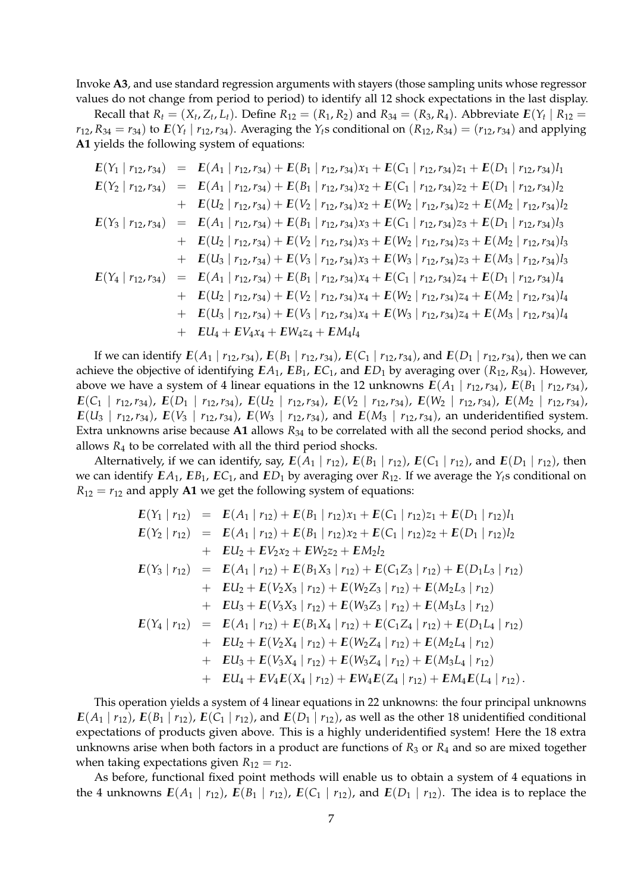Invoke **A3**, and use standard regression arguments with stayers (those sampling units whose regressor values do not change from period to period) to identify all 12 shock expectations in the last display.

Recall that  $R_t = (X_t, Z_t, L_t)$ . Define  $R_{12} = (R_1, R_2)$  and  $R_{34} = (R_3, R_4)$ . Abbreviate  $E(Y_t | R_{12} =$  $r_{12}$ ,  $R_{34} = r_{34}$ ) to  $E(Y_t | r_{12}, r_{34})$ . Averaging the  $Y_t$ s conditional on  $(R_{12}, R_{34}) = (r_{12}, r_{34})$  and applying **A1** yields the following system of equations:

$$
E(Y_1 | r_{12}, r_{34}) = E(A_1 | r_{12}, r_{34}) + E(B_1 | r_{12}, r_{34})x_1 + E(C_1 | r_{12}, r_{34})z_1 + E(D_1 | r_{12}, r_{34})l_1
$$
  
\n
$$
E(Y_2 | r_{12}, r_{34}) = E(A_1 | r_{12}, r_{34}) + E(B_1 | r_{12}, r_{34})x_2 + E(C_1 | r_{12}, r_{34})z_2 + E(D_1 | r_{12}, r_{34})l_2
$$
  
\n
$$
+ E(U_2 | r_{12}, r_{34}) + E(V_2 | r_{12}, r_{34})x_2 + E(W_2 | r_{12}, r_{34})z_2 + E(M_2 | r_{12}, r_{34})l_2
$$
  
\n
$$
E(Y_3 | r_{12}, r_{34}) = E(A_1 | r_{12}, r_{34}) + E(B_1 | r_{12}, r_{34})x_3 + E(C_1 | r_{12}, r_{34})z_3 + E(D_1 | r_{12}, r_{34})l_3
$$
  
\n
$$
+ E(U_2 | r_{12}, r_{34}) + E(V_2 | r_{12}, r_{34})x_3 + E(W_2 | r_{12}, r_{34})z_3 + E(M_2 | r_{12}, r_{34})l_3
$$
  
\n
$$
+ E(U_3 | r_{12}, r_{34}) + E(V_3 | r_{12}, r_{34})x_3 + E(W_3 | r_{12}, r_{34})z_3 + E(M_3 | r_{12}, r_{34})l_3
$$
  
\n
$$
+ E(Y_4 | r_{12}, r_{34}) = E(A_1 | r_{12}, r_{34}) + E(B_1 | r_{12}, r_{34})x_4 + E(C_1 | r_{12}, r_{34})z_4 + E(D_1 | r_{12}, r_{34})l_4
$$
  
\n
$$
+ E(U_2 | r_{12}, r_{34}) + E(V_2 | r_{12}, r_{34})x_4 + E(W_2 | r_{12}, r_{34})z_4 + E(M_2 | r_{12}, r_{34})l_4
$$
  
\n
$$
+ E(U_3 | r_{12}, r_{34}) + E
$$

If we can identify  $E(A_1 | r_{12}, r_{34})$ ,  $E(B_1 | r_{12}, r_{34})$ ,  $E(C_1 | r_{12}, r_{34})$ , and  $E(D_1 | r_{12}, r_{34})$ , then we can achieve the objective of identifying  $EA_1$ ,  $EB_1$ ,  $EC_1$ , and  $ED_1$  by averaging over  $(R_{12}, R_{34})$ . However, above we have a system of 4 linear equations in the 12 unknowns  $E(A_1 | r_{12}, r_{34})$ ,  $E(B_1 | r_{12}, r_{34})$ ,  $E(C_1 | r_{12}, r_{34})$ ,  $E(D_1 | r_{12}, r_{34})$ ,  $E(U_2 | r_{12}, r_{34})$ ,  $E(V_2 | r_{12}, r_{34})$ ,  $E(W_2 | r_{12}, r_{34})$ ,  $E(M_2 | r_{12}, r_{34})$ ,  $E(U_3 | r_{12}, r_{34})$ ,  $E(V_3 | r_{12}, r_{34})$ ,  $E(W_3 | r_{12}, r_{34})$ , and  $E(M_3 | r_{12}, r_{34})$ , an underidentified system. Extra unknowns arise because **A1** allows *R*<sup>34</sup> to be correlated with all the second period shocks, and allows  $R_4$  to be correlated with all the third period shocks.

Alternatively, if we can identify, say,  $E(A_1 | r_{12})$ ,  $E(B_1 | r_{12})$ ,  $E(C_1 | r_{12})$ , and  $E(D_1 | r_{12})$ , then we can identify  $EA_1$ ,  $EB_1$ ,  $EC_1$ , and  $ED_1$  by averaging over  $R_{12}$ . If we average the  $Y_t$ s conditional on  $R_{12} = r_{12}$  and apply **A1** we get the following system of equations:

$$
E(Y_1 | r_{12}) = E(A_1 | r_{12}) + E(B_1 | r_{12})x_1 + E(C_1 | r_{12})z_1 + E(D_1 | r_{12})l_1
$$
  
\n
$$
E(Y_2 | r_{12}) = E(A_1 | r_{12}) + E(B_1 | r_{12})x_2 + E(C_1 | r_{12})z_2 + E(D_1 | r_{12})l_2
$$
  
\n
$$
+ EU_2 + EV_2x_2 + EW_2z_2 + EM_2l_2
$$
  
\n
$$
E(Y_3 | r_{12}) = E(A_1 | r_{12}) + E(B_1X_3 | r_{12}) + E(C_1Z_3 | r_{12}) + E(D_1L_3 | r_{12})
$$
  
\n
$$
+ EU_2 + E(V_2X_3 | r_{12}) + E(W_2Z_3 | r_{12}) + E(M_2L_3 | r_{12})
$$
  
\n
$$
+ EU_3 + E(V_3X_3 | r_{12}) + E(W_3Z_3 | r_{12}) + E(M_3L_3 | r_{12})
$$
  
\n
$$
E(Y_4 | r_{12}) = E(A_1 | r_{12}) + E(B_1X_4 | r_{12}) + E(C_1Z_4 | r_{12}) + E(D_1L_4 | r_{12})
$$
  
\n
$$
+ EU_2 + E(V_2X_4 | r_{12}) + E(W_2Z_4 | r_{12}) + E(M_2L_4 | r_{12})
$$
  
\n
$$
+ EU_3 + E(V_3X_4 | r_{12}) + E(W_3Z_4 | r_{12}) + E(M_3L_4 | r_{12})
$$
  
\n
$$
+ EU_4 + EV_4E(X_4 | r_{12}) + EW_4E(Z_4 | r_{12}) + EM_4E(L_4 | r_{12}).
$$

This operation yields a system of 4 linear equations in 22 unknowns: the four principal unknowns  $E(A_1 | r_{12})$ ,  $E(B_1 | r_{12})$ ,  $E(C_1 | r_{12})$ , and  $E(D_1 | r_{12})$ , as well as the other 18 unidentified conditional expectations of products given above. This is a highly underidentified system! Here the 18 extra unknowns arise when both factors in a product are functions of *R*<sup>3</sup> or *R*<sup>4</sup> and so are mixed together when taking expectations given  $R_{12} = r_{12}$ .

As before, functional fixed point methods will enable us to obtain a system of 4 equations in the 4 unknowns  $E(A_1 | r_{12})$ ,  $E(B_1 | r_{12})$ ,  $E(C_1 | r_{12})$ , and  $E(D_1 | r_{12})$ . The idea is to replace the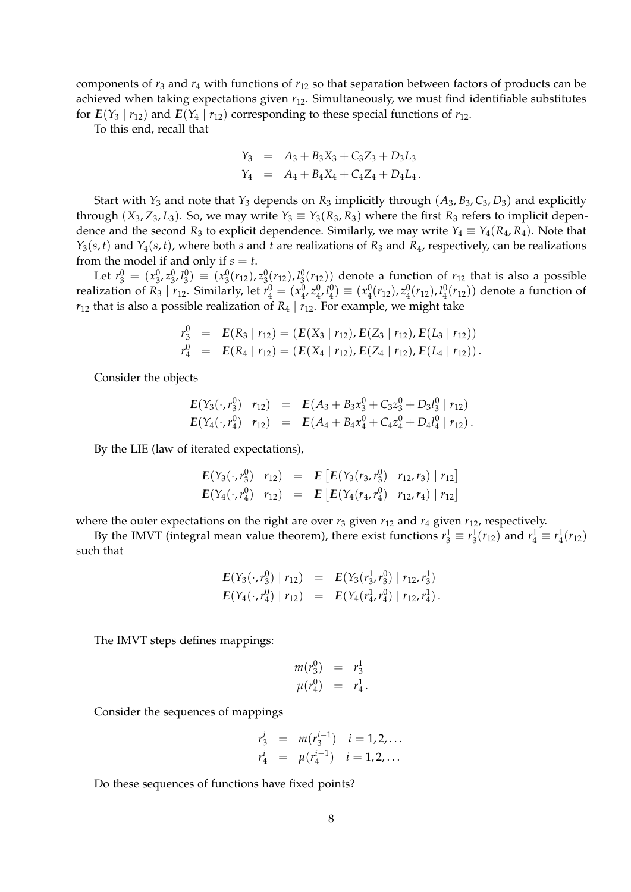components of  $r_3$  and  $r_4$  with functions of  $r_{12}$  so that separation between factors of products can be achieved when taking expectations given *r*12. Simultaneously, we must find identifiable substitutes for  $E(Y_3 | r_{12})$  and  $E(Y_4 | r_{12})$  corresponding to these special functions of  $r_{12}$ .

To this end, recall that

$$
Y_3 = A_3 + B_3X_3 + C_3Z_3 + D_3L_3
$$
  
\n
$$
Y_4 = A_4 + B_4X_4 + C_4Z_4 + D_4L_4.
$$

Start with  $Y_3$  and note that  $Y_3$  depends on  $R_3$  implicitly through  $(A_3, B_3, C_3, D_3)$  and explicitly through  $(X_3, Z_3, L_3)$ . So, we may write  $Y_3 \equiv Y_3(R_3, R_3)$  where the first  $R_3$  refers to implicit dependence and the second  $R_3$  to explicit dependence. Similarly, we may write  $Y_4 \equiv Y_4(R_4, R_4)$ . Note that  $Y_3(s,t)$  and  $Y_4(s,t)$ , where both *s* and *t* are realizations of  $R_3$  and  $R_4$ , respectively, can be realizations from the model if and only if  $s = t$ .

Let  $r_3^0 = (x_3^0, z_3^0, l_3^0) \equiv (x_3^0(r_{12}), z_3^0(r_{12}), l_3^0(r_{12}))$  denote a function of  $r_{12}$  that is also a possible realization of  $R_3 \mid r_{12}$ . Similarly, let  $r_4^0 = (x_4^0, z_4^0, l_4^0) \equiv (x_4^0(r_{12}), z_4^0(r_{12}), l_4^0(r_{12}))$  denote a function of  $r_{12}$  that is also a possible realization of  $R_4 | r_{12}$ . For example, we might take

$$
r_3^0 = E(R_3 | r_{12}) = (E(X_3 | r_{12}), E(Z_3 | r_{12}), E(L_3 | r_{12}))
$$
  
\n
$$
r_4^0 = E(R_4 | r_{12}) = (E(X_4 | r_{12}), E(Z_4 | r_{12}), E(L_4 | r_{12})).
$$

Consider the objects

$$
E(Y_3(\cdot, r_3^0) | r_{12}) = E(A_3 + B_3x_3^0 + C_3z_3^0 + D_3l_3^0 | r_{12})
$$
  
\n
$$
E(Y_4(\cdot, r_4^0) | r_{12}) = E(A_4 + B_4x_4^0 + C_4z_4^0 + D_4l_4^0 | r_{12}).
$$

By the LIE (law of iterated expectations),

$$
E(Y_3(\cdot, r_3^0) | r_{12}) = E [E(Y_3(r_3, r_3^0) | r_{12}, r_3) | r_{12}]
$$
  

$$
E(Y_4(\cdot, r_4^0) | r_{12}) = E [E(Y_4(r_4, r_4^0) | r_{12}, r_4) | r_{12}]
$$

where the outer expectations on the right are over  $r_3$  given  $r_{12}$  and  $r_4$  given  $r_{12}$ , respectively.

By the IMVT (integral mean value theorem), there exist functions  $r_3^1 \equiv r_3^1(r_{12})$  and  $r_4^1 \equiv r_4^1(r_{12})$ such that

$$
E(Y_3(\cdot, r_3^0) | r_{12}) = E(Y_3(r_3^1, r_3^0) | r_{12}, r_3^1)
$$
  

$$
E(Y_4(\cdot, r_4^0) | r_{12}) = E(Y_4(r_4^1, r_4^0) | r_{12}, r_4^1).
$$

The IMVT steps defines mappings:

$$
m(r_3^0) = r_3^1 \n\mu(r_4^0) = r_4^1.
$$

Consider the sequences of mappings

$$
r_3^i = m(r_3^{i-1}) \quad i = 1, 2, ...
$$
  
\n
$$
r_4^i = \mu(r_4^{i-1}) \quad i = 1, 2, ...
$$

Do these sequences of functions have fixed points?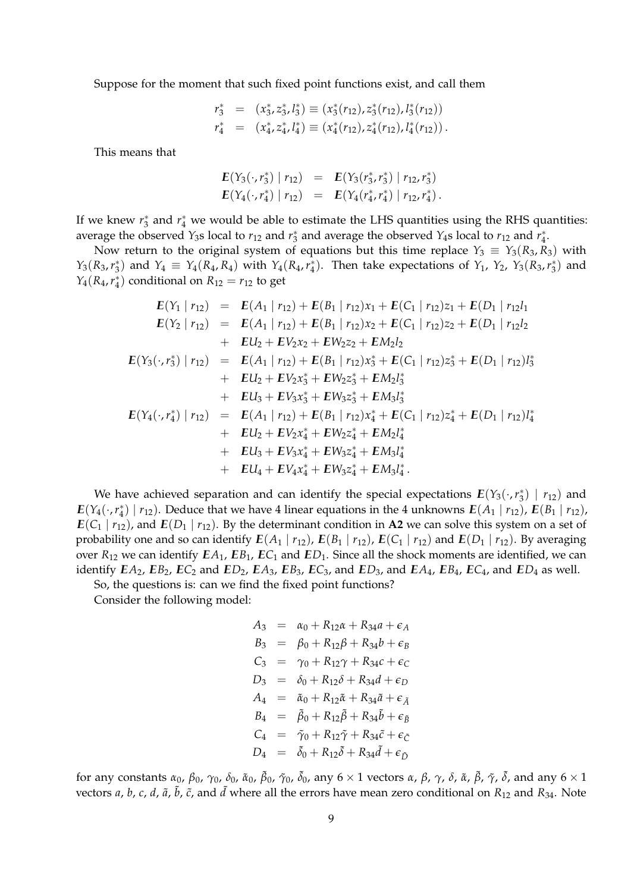Suppose for the moment that such fixed point functions exist, and call them

$$
r_3^* = (x_3^*, z_3^*, l_3^*) \equiv (x_3^*(r_{12}), z_3^*(r_{12}), l_3^*(r_{12}))
$$
  

$$
r_4^* = (x_4^*, z_4^*, l_4^*) \equiv (x_4^*(r_{12}), z_4^*(r_{12}), l_4^*(r_{12})).
$$

This means that

$$
E(Y_3(\cdot, r_3^*) | r_{12}) = E(Y_3(r_3^*, r_3^*) | r_{12}, r_3^*)
$$
  

$$
E(Y_4(\cdot, r_4^*) | r_{12}) = E(Y_4(r_4^*, r_4^*) | r_{12}, r_4^*).
$$

If we knew  $r_3^*$  and  $r_4^*$  we would be able to estimate the LHS quantities using the RHS quantities: average the observed *Y*<sub>3</sub>s local to  $r_{12}$  and  $r_3^*$  and average the observed *Y*<sub>4</sub>s local to  $r_{12}$  and  $r_4^*$ .

Now return to the original system of equations but this time replace  $Y_3 \equiv Y_3(R_3, R_3)$  with *Y*<sub>3</sub>(*R*<sub>3</sub>, *r*<sup>\*</sup><sub>3</sub>) and *Y*<sub>4</sub>  $\equiv Y_4(R_4, R_4)$  with *Y*<sub>4</sub>(*R*<sub>4</sub>, *r*<sup>\*</sup><sub>4</sub>). Then take expectations of *Y*<sub>1</sub>, *Y*<sub>2</sub>, *Y*<sub>3</sub>(*R*<sub>3</sub>, *r*<sup>\*</sup><sub>3</sub>) and *Y*<sub>4</sub>(*R*<sub>4</sub>, *r*<sup>\*</sup><sub>4</sub>) conditional on *R*<sub>12</sub> = *r*<sub>12</sub> to get

$$
E(Y_1 | r_{12}) = E(A_1 | r_{12}) + E(B_1 | r_{12})x_1 + E(C_1 | r_{12})z_1 + E(D_1 | r_{12}l_1
$$
  
\n
$$
E(Y_2 | r_{12}) = E(A_1 | r_{12}) + E(B_1 | r_{12})x_2 + E(C_1 | r_{12})z_2 + E(D_1 | r_{12}l_2
$$
  
\n
$$
+ EU_2 + EV_2x_2 + EW_2z_2 + EM_2l_2
$$
  
\n
$$
E(Y_3(\cdot, r_3^*) | r_{12}) = E(A_1 | r_{12}) + E(B_1 | r_{12})x_3^* + E(C_1 | r_{12})z_3^* + E(D_1 | r_{12})l_3^*
$$
  
\n
$$
+ EU_2 + EV_2x_3^* + EW_2z_3^* + EM_2l_3^*
$$
  
\n
$$
+ EU_3 + EV_3x_3^* + EW_3z_3^* + EM_3l_3^*
$$
  
\n
$$
E(Y_4(\cdot, r_4^*) | r_{12}) = E(A_1 | r_{12}) + E(B_1 | r_{12})x_4^* + E(C_1 | r_{12})z_4^* + E(D_1 | r_{12})l_4^*
$$
  
\n
$$
+ EU_2 + EV_2x_4^* + EW_2z_4^* + EM_2l_4^*
$$
  
\n
$$
+ EU_3 + EV_3x_4^* + EW_3z_4^* + EM_3l_4^*
$$
  
\n
$$
+ EU_4 + EV_4x_4^* + EW_3z_4^* + EM_3l_4^*.
$$

We have achieved separation and can identify the special expectations  $E(Y_3(\cdot,r_3^*) | r_{12})$  and  $E(Y_4(\cdot, r_4^*) | r_{12})$ . Deduce that we have 4 linear equations in the 4 unknowns  $E(A_1 | r_{12})$ ,  $E(B_1 | r_{12})$ ,  $E(C_1 | r_{12})$ , and  $E(D_1 | r_{12})$ . By the determinant condition in **A2** we can solve this system on a set of probability one and so can identify  $E(A_1 | r_{12})$ ,  $E(B_1 | r_{12})$ ,  $E(C_1 | r_{12})$  and  $E(D_1 | r_{12})$ . By averaging over  $R_{12}$  we can identify  $EA_1$ ,  $EB_1$ ,  $EC_1$  and  $ED_1$ . Since all the shock moments are identified, we can identify  $EA_2$ ,  $EB_2$ ,  $EC_2$  and  $ED_2$ ,  $EA_3$ ,  $EB_3$ ,  $EC_3$ , and  $ED_3$ , and  $EA_4$ ,  $EB_4$ ,  $EC_4$ , and  $ED_4$  as well.

So, the questions is: can we find the fixed point functions?

Consider the following model:

$$
A_3 = \alpha_0 + R_{12}\alpha + R_{34}a + \epsilon_A
$$
  
\n
$$
B_3 = \beta_0 + R_{12}\beta + R_{34}b + \epsilon_B
$$
  
\n
$$
C_3 = \gamma_0 + R_{12}\gamma + R_{34}c + \epsilon_C
$$
  
\n
$$
D_3 = \delta_0 + R_{12}\delta + R_{34}d + \epsilon_D
$$
  
\n
$$
A_4 = \tilde{\alpha}_0 + R_{12}\tilde{\alpha} + R_{34}\tilde{a} + \epsilon_{\tilde{A}}
$$
  
\n
$$
B_4 = \tilde{\beta}_0 + R_{12}\tilde{\beta} + R_{34}\tilde{b} + \epsilon_{\tilde{B}}
$$
  
\n
$$
C_4 = \tilde{\gamma}_0 + R_{12}\tilde{\gamma} + R_{34}\tilde{c} + \epsilon_{\tilde{C}}
$$
  
\n
$$
D_4 = \tilde{\delta}_0 + R_{12}\tilde{\delta} + R_{34}\tilde{d} + \epsilon_{\tilde{D}}
$$

for any constants  $\alpha_0$ ,  $\beta_0$ ,  $\gamma_0$ ,  $\delta_0$ ,  $\tilde\alpha_0$ ,  $\tilde\beta_0$ ,  $\tilde\gamma_0$ ,  $\tilde\delta_0$ , any  $6\times1$  vectors  $\alpha$ ,  $\beta$ ,  $\gamma$ ,  $\delta$ ,  $\tilde\alpha$ ,  $\tilde\beta$ ,  $\tilde\gamma$ ,  $\tilde\delta$ , and any  $6\times1$ vectors *a*, *b*, *c*, *d*,  $\tilde{a}$ ,  $\tilde{b}$ ,  $\tilde{c}$ , and  $\tilde{d}$  where all the errors have mean zero conditional on  $R_{12}$  and  $R_{34}$ . Note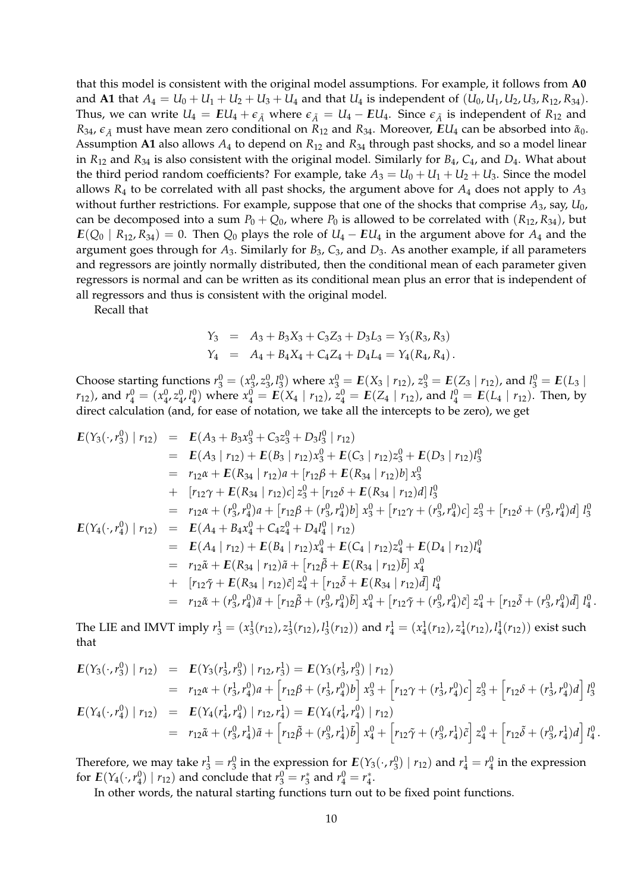that this model is consistent with the original model assumptions. For example, it follows from **A0** and **A1** that  $A_4 = U_0 + U_1 + U_2 + U_3 + U_4$  and that  $U_4$  is independent of  $(U_0, U_1, U_2, U_3, R_{12}, R_{34})$ . Thus, we can write  $U_4 = EU_4 + \epsilon_{\tilde{A}}$  where  $\epsilon_{\tilde{A}} = U_4 - EU_4$ . Since  $\epsilon_{\tilde{A}}$  is independent of  $R_{12}$  and *R*<sub>34</sub>,  $\epsilon_{\tilde{A}}$  must have mean zero conditional on *R*<sub>12</sub> and *R*<sub>34</sub>. Moreover, *EU*<sub>4</sub> can be absorbed into  $\tilde{\alpha}_0$ . Assumption **A1** also allows *A*<sup>4</sup> to depend on *R*<sup>12</sup> and *R*<sup>34</sup> through past shocks, and so a model linear in *R*<sup>12</sup> and *R*<sup>34</sup> is also consistent with the original model. Similarly for *B*4, *C*4, and *D*4. What about the third period random coefficients? For example, take  $A_3 = U_0 + U_1 + U_2 + U_3$ . Since the model allows  $R_4$  to be correlated with all past shocks, the argument above for  $A_4$  does not apply to  $A_3$ without further restrictions. For example, suppose that one of the shocks that comprise *A*3, say, *U*0, can be decomposed into a sum  $P_0 + Q_0$ , where  $P_0$  is allowed to be correlated with  $(R_{12}, R_{34})$ , but  $E(Q_0 | R_{12}, R_{34}) = 0$ . Then  $Q_0$  plays the role of  $U_4 - EU_4$  in the argument above for  $A_4$  and the argument goes through for *A*3. Similarly for *B*3, *C*3, and *D*3. As another example, if all parameters and regressors are jointly normally distributed, then the conditional mean of each parameter given regressors is normal and can be written as its conditional mean plus an error that is independent of all regressors and thus is consistent with the original model.

Recall that

$$
Y_3 = A_3 + B_3X_3 + C_3Z_3 + D_3L_3 = Y_3(R_3, R_3)
$$
  
\n
$$
Y_4 = A_4 + B_4X_4 + C_4Z_4 + D_4L_4 = Y_4(R_4, R_4).
$$

Choose starting functions  $r_3^0 = (x_3^0, z_3^0, l_3^0)$  where  $x_3^0 = E(X_3 | r_{12})$ ,  $z_3^0 = E(Z_3 | r_{12})$ , and  $l_3^0 = E(L_3 | r_{12})$  $(r_{12})$ , and  $r_4^0 = (x_4^0, z_4^0, l_4^0)$  where  $x_4^0 = E(X_4 | r_{12})$ ,  $z_4^0 = E(Z_4 | r_{12})$ , and  $l_4^0 = E(L_4 | r_{12})$ . Then, by direct calculation (and, for ease of notation, we take all the intercepts to be zero), we get

$$
E(Y_3(\cdot, r_3^0) | r_{12}) = E(A_3 + B_3x_3^0 + C_3z_3^0 + D_3l_3^0 | r_{12})
$$
  
\n
$$
= E(A_3 | r_{12}) + E(B_3 | r_{12})x_3^0 + E(C_3 | r_{12})z_3^0 + E(D_3 | r_{12})l_3^0
$$
  
\n
$$
= r_{12}\alpha + E(R_{34} | r_{12})a + [r_{12}\beta + E(R_{34} | r_{12})b]x_3^0
$$
  
\n
$$
+ [r_{12}\gamma + E(R_{34} | r_{12})c]z_3^0 + [r_{12}\delta + E(R_{34} | r_{12})d]l_3^0
$$
  
\n
$$
= r_{12}\alpha + (r_3^0, r_4^0)a + [r_{12}\beta + (r_3^0, r_4^0)b]x_3^0 + [r_{12}\gamma + (r_3^0, r_4^0)c]z_3^0 + [r_{12}\delta + (r_3^0, r_4^0)d]l_3^0
$$
  
\n
$$
E(Y_4(\cdot, r_4^0) | r_{12}) = E(A_4 + B_4x_4^0 + C_4z_4^0 + D_4l_4^0 | r_{12})
$$
  
\n
$$
= E(A_4 | r_{12}) + E(B_4 | r_{12})x_4^0 + E(C_4 | r_{12})z_4^0 + E(D_4 | r_{12})l_4^0
$$
  
\n
$$
= r_{12}\tilde{\alpha} + E(R_{34} | r_{12})\tilde{\alpha} + [r_{12}\tilde{\beta} + E(R_{34} | r_{12})\tilde{\beta}]x_4^0
$$
  
\n
$$
+ [r_{12}\tilde{\gamma} + E(R_{34} | r_{12})\tilde{c}]z_4^0 + [r_{12}\tilde{\beta} + E(R_{34} | r_{12})\tilde{\beta}]l_4^0
$$
  
\n
$$
= r_{12}\tilde{\alpha} + (r_3^0, r_4^0)\tilde{a} + [r_{12}\tilde{\beta} + (r_3^0, r_4^0)\tilde{b}]x_4^0 + [r_{1
$$

The LIE and IMVT imply  $r_3^1 = (x_3^1(r_{12}), z_3^1(r_{12}), l_3^1(r_{12}))$  and  $r_4^1 = (x_4^1(r_{12}), z_4^1(r_{12}), l_4^1(r_{12}))$  exist such that

.

$$
E(Y_3(\cdot, r_3^0) | r_{12}) = E(Y_3(r_3^1, r_3^0) | r_{12}, r_3^1) = E(Y_3(r_3^1, r_3^0) | r_{12})
$$
  
\n
$$
= r_{12}\alpha + (r_3^1, r_4^0)a + [r_{12}\beta + (r_3^1, r_4^0)b] x_3^0 + [r_{12}\gamma + (r_3^1, r_4^0)c] z_3^0 + [r_{12}\delta + (r_3^1, r_4^0)d] l_3^0
$$
  
\n
$$
E(Y_4(\cdot, r_4^0) | r_{12}) = E(Y_4(r_4^1, r_4^0) | r_{12}, r_4^1) = E(Y_4(r_4^1, r_4^0) | r_{12})
$$
  
\n
$$
= r_{12}\tilde{\alpha} + (r_3^0, r_4^1)\tilde{a} + [r_{12}\tilde{\beta} + (r_3^0, r_4^1)\tilde{b}] x_4^0 + [r_{12}\tilde{\gamma} + (r_3^0, r_4^1)\tilde{c}] z_4^0 + [r_{12}\tilde{\delta} + (r_3^0, r_4^1)d] l_4^0.
$$

Therefore, we may take  $r_3^1 = r_3^0$  in the expression for  $E(Y_3(\cdot,r_3^0) | r_{12})$  and  $r_4^1 = r_4^0$  in the expression for  $E(Y_4(\cdot, r_4^0) | r_{12})$  and conclude that  $r_3^0 = r_3^*$  and  $r_4^0 = r_4^*$ .

In other words, the natural starting functions turn out to be fixed point functions.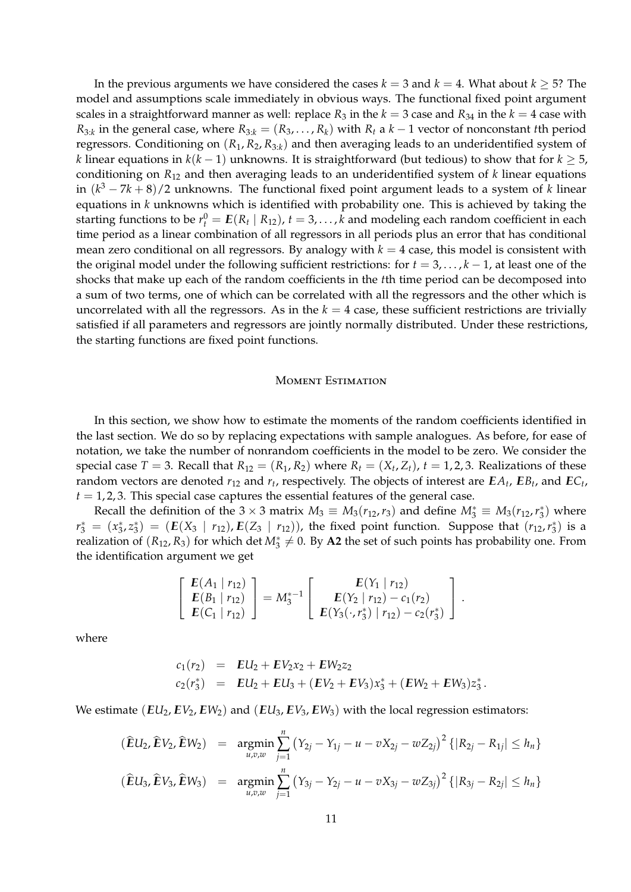In the previous arguments we have considered the cases  $k = 3$  and  $k = 4$ . What about  $k \geq 5$ ? The model and assumptions scale immediately in obvious ways. The functional fixed point argument scales in a straightforward manner as well: replace  $R_3$  in the  $k = 3$  case and  $R_{34}$  in the  $k = 4$  case with  $R_{3:k}$  in the general case, where  $R_{3:k} = (R_3, \ldots, R_k)$  with  $R_t$  a  $k-1$  vector of nonconstant *t*th period regressors. Conditioning on  $(R_1, R_2, R_{3:k})$  and then averaging leads to an underidentified system of *k* linear equations in *k*(*k* − 1) unknowns. It is straightforward (but tedious) to show that for *k* ≥ 5, conditioning on *R*<sup>12</sup> and then averaging leads to an underidentified system of *k* linear equations in (*k* <sup>3</sup> − 7*k* + 8)/2 unknowns. The functional fixed point argument leads to a system of *k* linear equations in *k* unknowns which is identified with probability one. This is achieved by taking the starting functions to be  $r_t^0 = E(R_t | R_{12})$ ,  $t = 3,...,k$  and modeling each random coefficient in each time period as a linear combination of all regressors in all periods plus an error that has conditional mean zero conditional on all regressors. By analogy with  $k = 4$  case, this model is consistent with the original model under the following sufficient restrictions: for  $t = 3, \ldots, k - 1$ , at least one of the shocks that make up each of the random coefficients in the *t*th time period can be decomposed into a sum of two terms, one of which can be correlated with all the regressors and the other which is uncorrelated with all the regressors. As in the  $k = 4$  case, these sufficient restrictions are trivially satisfied if all parameters and regressors are jointly normally distributed. Under these restrictions, the starting functions are fixed point functions.

## MOMENT ESTIMATION

In this section, we show how to estimate the moments of the random coefficients identified in the last section. We do so by replacing expectations with sample analogues. As before, for ease of notation, we take the number of nonrandom coefficients in the model to be zero. We consider the special case  $T = 3$ . Recall that  $R_{12} = (R_1, R_2)$  where  $R_t = (X_t, Z_t)$ ,  $t = 1, 2, 3$ . Realizations of these random vectors are denoted  $r_{12}$  and  $r_t$ , respectively. The objects of interest are  $EA_t$ ,  $EB_t$ , and  $EC_t$ ,  $t = 1, 2, 3$ . This special case captures the essential features of the general case.

Recall the definition of the 3  $\times$  3 matrix  $M_3 \equiv M_3(r_{12}, r_3)$  and define  $M_3^* \equiv M_3(r_{12}, r_3^*)$  where  $r_3^* = (x_3^*, z_3^*) = (E(X_3 \mid r_{12}), E(Z_3 \mid r_{12}))$ , the fixed point function. Suppose that  $(r_{12}, r_3^*)$  is a realization of  $(R_{12}, R_3)$  for which det  $M_3^* \neq 0$ . By A2 the set of such points has probability one. From the identification argument we get

$$
\left[\begin{array}{c} E(A_1 | r_{12}) \\ E(B_1 | r_{12}) \\ E(C_1 | r_{12}) \end{array}\right] = M_3^{*-1} \left[\begin{array}{c} E(Y_1 | r_{12}) \\ E(Y_2 | r_{12}) - c_1(r_2) \\ E(Y_3(\cdot, r_3^*) | r_{12}) - c_2(r_3^*) \end{array}\right].
$$

where

$$
c_1(r_2) = EU_2 + EV_2x_2 + EW_2z_2
$$
  
\n
$$
c_2(r_3^*) = EU_2 + EU_3 + (EV_2 + EV_3)x_3^* + (EW_2 + EW_3)z_3^*.
$$

We estimate  $(EU_2, EV_2, EW_2)$  and  $(EU_3, EV_3, EW_3)$  with the local regression estimators:

$$
(\widehat{E}U_2, \widehat{E}V_2, \widehat{E}W_2) = \underset{u,v,w}{\text{argmin}} \sum_{j=1}^n (Y_{2j} - Y_{1j} - u - vX_{2j} - wZ_{2j})^2 \{|R_{2j} - R_{1j}| \le h_n\}
$$
  

$$
(\widehat{E}U_3, \widehat{E}V_3, \widehat{E}W_3) = \underset{u,v,w}{\text{argmin}} \sum_{j=1}^n (Y_{3j} - Y_{2j} - u - vX_{3j} - wZ_{3j})^2 \{|R_{3j} - R_{2j}| \le h_n\}
$$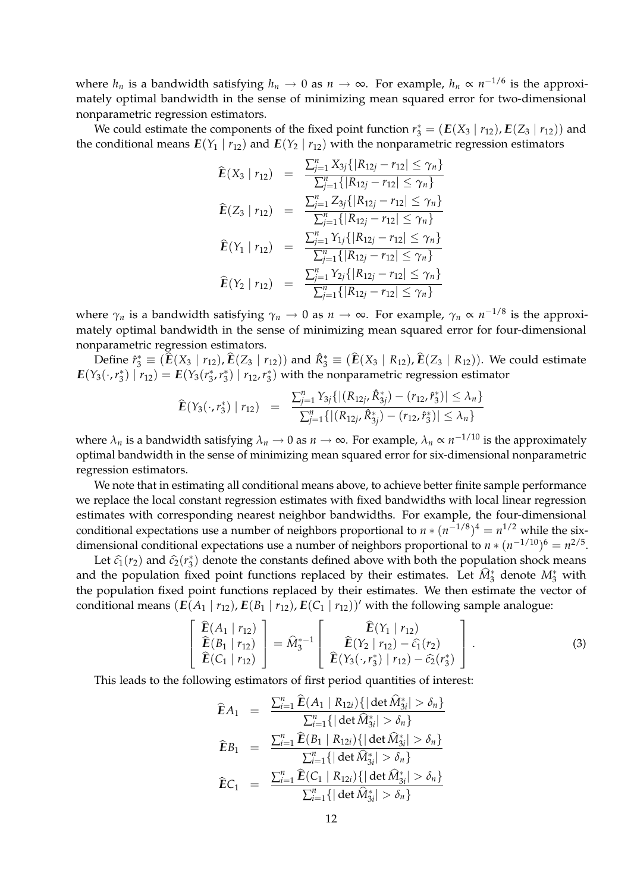where  $h_n$  is a bandwidth satisfying  $h_n \to 0$  as  $n \to \infty$ . For example,  $h_n \propto n^{-1/6}$  is the approximately optimal bandwidth in the sense of minimizing mean squared error for two-dimensional nonparametric regression estimators.

We could estimate the components of the fixed point function  $r_3^* = (E(X_3 | r_{12}), E(Z_3 | r_{12}))$  and the conditional means  $E(Y_1 | r_{12})$  and  $E(Y_2 | r_{12})$  with the nonparametric regression estimators

$$
\widehat{E}(X_3 | r_{12}) = \frac{\sum_{j=1}^n X_{3j} \{ |R_{12j} - r_{12}| \le \gamma_n \}}{\sum_{j=1}^n \{ |R_{12j} - r_{12}| \le \gamma_n \}}
$$
\n
$$
\widehat{E}(Z_3 | r_{12}) = \frac{\sum_{j=1}^n Z_{3j} \{ |R_{12j} - r_{12}| \le \gamma_n \}}{\sum_{j=1}^n \{ |R_{12j} - r_{12}| \le \gamma_n \}}
$$
\n
$$
\widehat{E}(Y_1 | r_{12}) = \frac{\sum_{j=1}^n Y_{1j} \{ |R_{12j} - r_{12}| \le \gamma_n \}}{\sum_{j=1}^n \{ |R_{12j} - r_{12}| \le \gamma_n \}}
$$
\n
$$
\widehat{E}(Y_2 | r_{12}) = \frac{\sum_{j=1}^n Y_{2j} \{ |R_{12j} - r_{12}| \le \gamma_n \}}{\sum_{j=1}^n \{ |R_{12j} - r_{12}| \le \gamma_n \}}
$$

where *γ<sup>n</sup>* is a bandwidth satisfying *γ<sup>n</sup>* → 0 as *n* → ∞. For example, *γ<sup>n</sup>* ∝ *n* <sup>−</sup>1/8 is the approximately optimal bandwidth in the sense of minimizing mean squared error for four-dimensional nonparametric regression estimators.

 $Define \ \hat{r}_3^* \equiv (\hat{E}(X_3 \mid r_{12}), \hat{E}(Z_3 \mid r_{12}))$  and  $\hat{R}_3^* \equiv (\hat{E}(X_3 \mid R_{12}), \hat{E}(Z_3 \mid R_{12}))$ . We could estimate  $E(Y_3(\cdot,r_3^*) | r_{12}) = E(Y_3(r_3^*,r_3^*) | r_{12},r_3^*)$  with the nonparametric regression estimator

$$
\widehat{E}(Y_3(\cdot,r_3^*) | r_{12}) = \frac{\sum_{j=1}^n Y_{3j}\{ |(R_{12j}, \widehat{R}_{3j}^*) - (r_{12}, \widehat{r}_3^*)| \leq \lambda_n \}}{\sum_{j=1}^n \{ |(R_{12j}, \widehat{R}_{3j}^*) - (r_{12}, \widehat{r}_3^*)| \leq \lambda_n \}}
$$

where  $\lambda_n$  is a bandwidth satisfying  $\lambda_n \to 0$  as  $n \to \infty$ . For example,  $\lambda_n \propto n^{-1/10}$  is the approximately optimal bandwidth in the sense of minimizing mean squared error for six-dimensional nonparametric regression estimators.

We note that in estimating all conditional means above, to achieve better finite sample performance we replace the local constant regression estimates with fixed bandwidths with local linear regression estimates with corresponding nearest neighbor bandwidths. For example, the four-dimensional conditional expectations use a number of neighbors proportional to  $n * (n^{-1/8})^4 = n^{1/2}$  while the sixdimensional conditional expectations use a number of neighbors proportional to  $n * (n^{-1/10})^6 = n^{2/5}$ .

Let  $\hat{c}_1(r_2)$  and  $\hat{c}_2(r_3^*)$  denote the constants defined above with both the population shock means and the population fixed point functions replaced by their estimates. Let  $\hat{M}^*_3$  denote  $M^*_3$  with the population fixed point functions replaced by their estimates. We then estimate the vector of conditional means  $(E(A_1 | r_{12}), E(B_1 | r_{12}), E(C_1 | r_{12}))'$  with the following sample analogue:

$$
\begin{bmatrix}\n\hat{\mathbf{E}}(A_1 | r_{12}) \\
\hat{\mathbf{E}}(B_1 | r_{12}) \\
\hat{\mathbf{E}}(C_1 | r_{12})\n\end{bmatrix} = \hat{M}_3^{*-1} \begin{bmatrix}\n\hat{\mathbf{E}}(Y_1 | r_{12}) \\
\hat{\mathbf{E}}(Y_2 | r_{12}) - \hat{c}_1(r_2) \\
\hat{\mathbf{E}}(Y_3(\cdot, r_3^*) | r_{12}) - \hat{c}_2(r_3^*)\n\end{bmatrix}.
$$
\n(3)

This leads to the following estimators of first period quantities of interest:

$$
\widehat{E}A_1 = \frac{\sum_{i=1}^n \widehat{E}(A_1 | R_{12i})\{|\det \widehat{M}_{3i}^*| > \delta_n\}}{\sum_{i=1}^n \{|\det \widehat{M}_{3i}^*| > \delta_n\}}
$$
\n
$$
\widehat{E}B_1 = \frac{\sum_{i=1}^n \widehat{E}(B_1 | R_{12i})\{|\det \widehat{M}_{3i}^*| > \delta_n\}}{\sum_{i=1}^n \{|\det \widehat{M}_{3i}^*| > \delta_n\}}
$$
\n
$$
\widehat{E}C_1 = \frac{\sum_{i=1}^n \widehat{E}(C_1 | R_{12i})\{|\det \widehat{M}_{3i}^*| > \delta_n\}}{\sum_{i=1}^n \{|\det \widehat{M}_{3i}^*| > \delta_n\}}
$$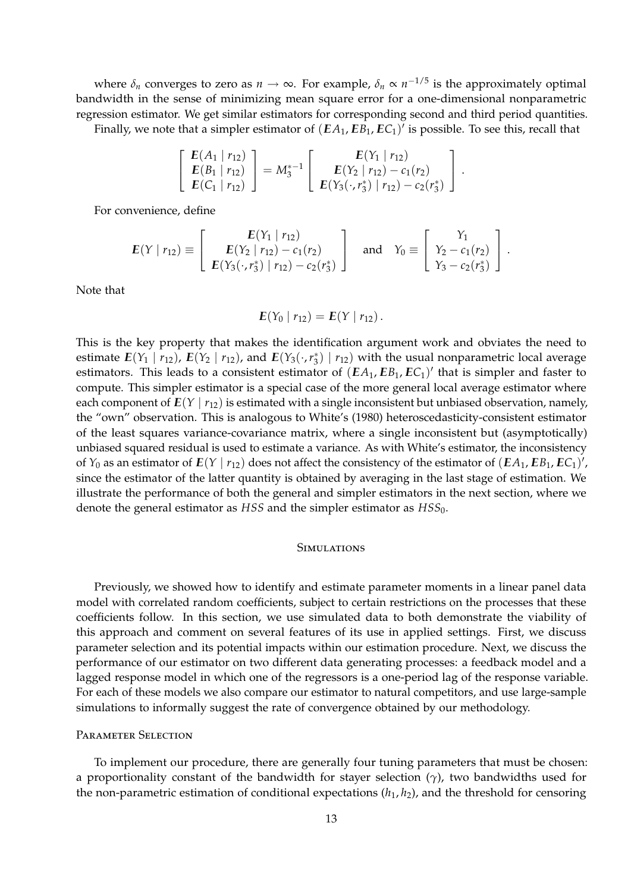where  $\delta_n$  converges to zero as  $n \to \infty$ . For example,  $\delta_n \propto n^{-1/5}$  is the approximately optimal bandwidth in the sense of minimizing mean square error for a one-dimensional nonparametric regression estimator. We get similar estimators for corresponding second and third period quantities.

Finally, we note that a simpler estimator of  $(EA_1, EB_1, EC_1)'$  is possible. To see this, recall that

$$
\left[\begin{array}{c} E(A_1 | r_{12}) \\ E(B_1 | r_{12}) \\ E(C_1 | r_{12}) \end{array}\right] = M_3^{*-1} \left[\begin{array}{c} E(Y_1 | r_{12}) \\ E(Y_2 | r_{12}) - c_1(r_2) \\ E(Y_3(\cdot, r_3^*) | r_{12}) - c_2(r_3^*) \end{array}\right].
$$

For convenience, define

$$
E(Y | r_{12}) \equiv \begin{bmatrix} E(Y_1 | r_{12}) \\ E(Y_2 | r_{12}) - c_1(r_2) \\ E(Y_3(\cdot, r_3^*) | r_{12}) - c_2(r_3^*) \end{bmatrix} \text{ and } Y_0 \equiv \begin{bmatrix} Y_1 \\ Y_2 - c_1(r_2) \\ Y_3 - c_2(r_3^*) \end{bmatrix}.
$$

Note that

$$
\boldsymbol{E}(Y_0 | r_{12}) = \boldsymbol{E}(Y | r_{12}).
$$

This is the key property that makes the identification argument work and obviates the need to estimate  $E(Y_1 | r_{12})$ ,  $E(Y_2 | r_{12})$ , and  $E(Y_3(\cdot, r_3^*) | r_{12})$  with the usual nonparametric local average estimators. This leads to a consistent estimator of  $(EA_1, EB_1, EC_1)'$  that is simpler and faster to compute. This simpler estimator is a special case of the more general local average estimator where each component of  $E(Y | r_{12})$  is estimated with a single inconsistent but unbiased observation, namely, the "own" observation. This is analogous to White's (1980) heteroscedasticity-consistent estimator of the least squares variance-covariance matrix, where a single inconsistent but (asymptotically) unbiased squared residual is used to estimate a variance. As with White's estimator, the inconsistency of  $Y_0$  as an estimator of  $E(Y | r_{12})$  does not affect the consistency of the estimator of  $(EA_1, EB_1, EC_1)'$ , since the estimator of the latter quantity is obtained by averaging in the last stage of estimation. We illustrate the performance of both the general and simpler estimators in the next section, where we denote the general estimator as *HSS* and the simpler estimator as *HSS*0.

# **SIMULATIONS**

Previously, we showed how to identify and estimate parameter moments in a linear panel data model with correlated random coefficients, subject to certain restrictions on the processes that these coefficients follow. In this section, we use simulated data to both demonstrate the viability of this approach and comment on several features of its use in applied settings. First, we discuss parameter selection and its potential impacts within our estimation procedure. Next, we discuss the performance of our estimator on two different data generating processes: a feedback model and a lagged response model in which one of the regressors is a one-period lag of the response variable. For each of these models we also compare our estimator to natural competitors, and use large-sample simulations to informally suggest the rate of convergence obtained by our methodology.

## PARAMETER SELECTION

To implement our procedure, there are generally four tuning parameters that must be chosen: a proportionality constant of the bandwidth for stayer selection (*γ*), two bandwidths used for the non-parametric estimation of conditional expectations (*h*1, *h*2), and the threshold for censoring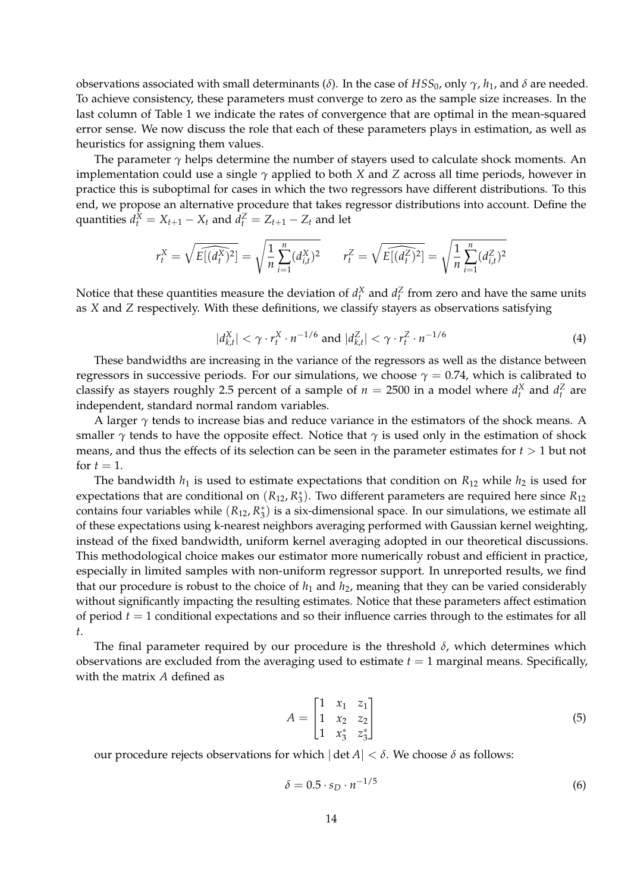observations associated with small determinants (*δ*). In the case of *HSS*0, only *γ*, *h*1, and *δ* are needed. To achieve consistency, these parameters must converge to zero as the sample size increases. In the last column of Table 1 we indicate the rates of convergence that are optimal in the mean-squared error sense. We now discuss the role that each of these parameters plays in estimation, as well as heuristics for assigning them values.

The parameter  $\gamma$  helps determine the number of stayers used to calculate shock moments. An implementation could use a single *γ* applied to both *X* and *Z* across all time periods, however in practice this is suboptimal for cases in which the two regressors have different distributions. To this end, we propose an alternative procedure that takes regressor distributions into account. Define the quantities  $d_t^X = X_{t+1} - X_t$  and  $d_t^Z = Z_{t+1} - Z_t$  and let

$$
r_t^X = \sqrt{E[(d_t^X)^2]} = \sqrt{\frac{1}{n} \sum_{i=1}^n (d_{i,t}^X)^2} \qquad r_t^Z = \sqrt{E[(d_t^Z)^2]} = \sqrt{\frac{1}{n} \sum_{i=1}^n (d_{i,t}^Z)^2}
$$

Notice that these quantities measure the deviation of  $d_t^X$  and  $d_t^Z$  from zero and have the same units as *X* and *Z* respectively. With these definitions, we classify stayers as observations satisfying

$$
|d_{k,t}^X| < \gamma \cdot r_t^X \cdot n^{-1/6} \text{ and } |d_{k,t}^Z| < \gamma \cdot r_t^Z \cdot n^{-1/6} \tag{4}
$$

These bandwidths are increasing in the variance of the regressors as well as the distance between regressors in successive periods. For our simulations, we choose  $\gamma = 0.74$ , which is calibrated to classify as stayers roughly 2.5 percent of a sample of  $n = 2500$  in a model where  $d_t^X$  and  $d_t^Z$  are independent, standard normal random variables.

A larger  $\gamma$  tends to increase bias and reduce variance in the estimators of the shock means. A smaller  $\gamma$  tends to have the opposite effect. Notice that  $\gamma$  is used only in the estimation of shock means, and thus the effects of its selection can be seen in the parameter estimates for  $t > 1$  but not for  $t=1$ .

The bandwidth  $h_1$  is used to estimate expectations that condition on  $R_{12}$  while  $h_2$  is used for expectations that are conditional on  $(R_{12}, R_3^*)$ . Two different parameters are required here since  $R_{12}$ contains four variables while  $(R_{12}, R_3^*)$  is a six-dimensional space. In our simulations, we estimate all of these expectations using k-nearest neighbors averaging performed with Gaussian kernel weighting, instead of the fixed bandwidth, uniform kernel averaging adopted in our theoretical discussions. This methodological choice makes our estimator more numerically robust and efficient in practice, especially in limited samples with non-uniform regressor support. In unreported results, we find that our procedure is robust to the choice of  $h_1$  and  $h_2$ , meaning that they can be varied considerably without significantly impacting the resulting estimates. Notice that these parameters affect estimation of period *t* = 1 conditional expectations and so their influence carries through to the estimates for all *t*.

The final parameter required by our procedure is the threshold  $\delta$ , which determines which observations are excluded from the averaging used to estimate  $t = 1$  marginal means. Specifically, with the matrix *A* defined as

$$
A = \begin{bmatrix} 1 & x_1 & z_1 \\ 1 & x_2 & z_2 \\ 1 & x_3^* & z_3^* \end{bmatrix}
$$
 (5)

our procedure rejects observations for which | det *A*| < *δ*. We choose *δ* as follows:

$$
\delta = 0.5 \cdot s_D \cdot n^{-1/5} \tag{6}
$$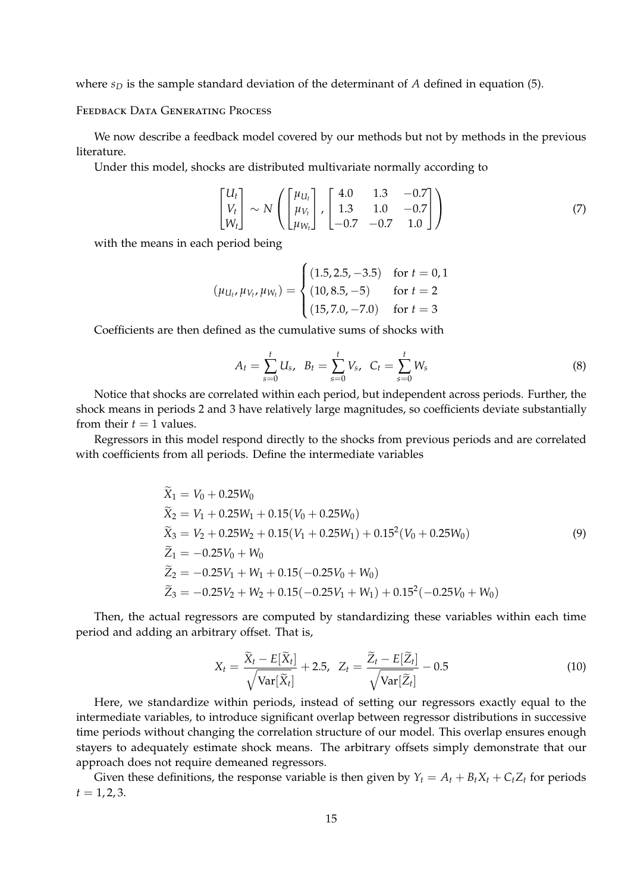where *s<sup>D</sup>* is the sample standard deviation of the determinant of *A* defined in equation (5).

Feedback Data Generating Process

We now describe a feedback model covered by our methods but not by methods in the previous literature.

Under this model, shocks are distributed multivariate normally according to

$$
\begin{bmatrix} U_t \\ V_t \\ W_t \end{bmatrix} \sim N \left( \begin{bmatrix} \mu_{U_t} \\ \mu_{V_t} \\ \mu_{W_t} \end{bmatrix}, \begin{bmatrix} 4.0 & 1.3 & -0.7 \\ 1.3 & 1.0 & -0.7 \\ -0.7 & -0.7 & 1.0 \end{bmatrix} \right)
$$
 (7)

with the means in each period being

$$
(\mu_{U_t}, \mu_{V_t}, \mu_{W_t}) = \begin{cases} (1.5, 2.5, -3.5) & \text{for } t = 0, 1\\ (10, 8.5, -5) & \text{for } t = 2\\ (15, 7.0, -7.0) & \text{for } t = 3 \end{cases}
$$

Coefficients are then defined as the cumulative sums of shocks with

$$
A_t = \sum_{s=0}^t U_s, \quad B_t = \sum_{s=0}^t V_s, \quad C_t = \sum_{s=0}^t W_s \tag{8}
$$

Notice that shocks are correlated within each period, but independent across periods. Further, the shock means in periods 2 and 3 have relatively large magnitudes, so coefficients deviate substantially from their  $t = 1$  values.

Regressors in this model respond directly to the shocks from previous periods and are correlated with coefficients from all periods. Define the intermediate variables

$$
\widetilde{X}_1 = V_0 + 0.25W_0
$$
\n
$$
\widetilde{X}_2 = V_1 + 0.25W_1 + 0.15(V_0 + 0.25W_0)
$$
\n
$$
\widetilde{X}_3 = V_2 + 0.25W_2 + 0.15(V_1 + 0.25W_1) + 0.15^2(V_0 + 0.25W_0)
$$
\n
$$
\widetilde{Z}_1 = -0.25V_0 + W_0
$$
\n
$$
\widetilde{Z}_2 = -0.25V_1 + W_1 + 0.15(-0.25V_0 + W_0)
$$
\n
$$
\widetilde{Z}_3 = -0.25V_2 + W_2 + 0.15(-0.25V_1 + W_1) + 0.15^2(-0.25V_0 + W_0)
$$
\n(9)

Then, the actual regressors are computed by standardizing these variables within each time period and adding an arbitrary offset. That is,

$$
X_t = \frac{\widetilde{X}_t - E[\widetilde{X}_t]}{\sqrt{\text{Var}[\widetilde{X}_t]}} + 2.5, \ \ Z_t = \frac{\widetilde{Z}_t - E[\widetilde{Z}_t]}{\sqrt{\text{Var}[\widetilde{Z}_t]}} - 0.5 \tag{10}
$$

Here, we standardize within periods, instead of setting our regressors exactly equal to the intermediate variables, to introduce significant overlap between regressor distributions in successive time periods without changing the correlation structure of our model. This overlap ensures enough stayers to adequately estimate shock means. The arbitrary offsets simply demonstrate that our approach does not require demeaned regressors.

Given these definitions, the response variable is then given by  $Y_t = A_t + B_t X_t + C_t Z_t$  for periods  $t = 1, 2, 3.$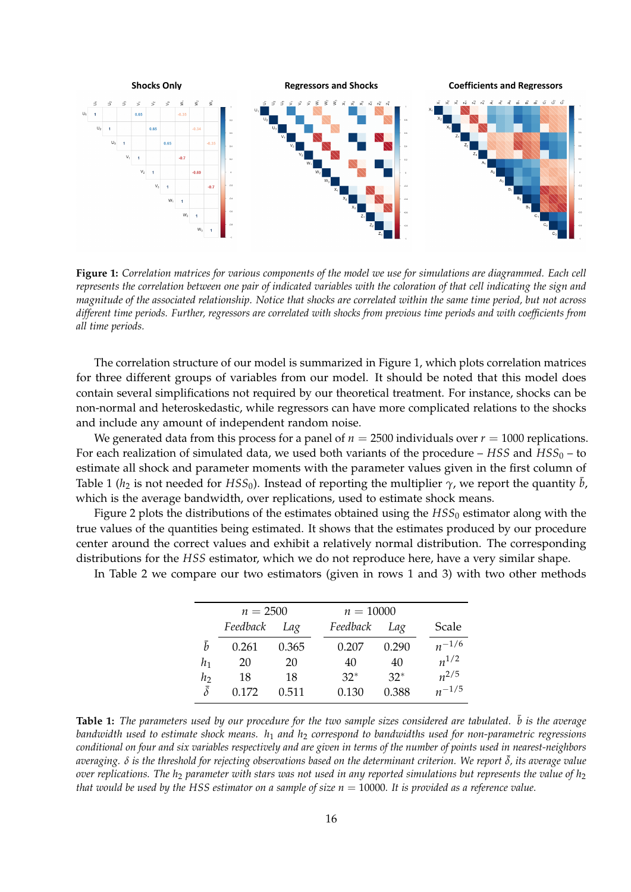

**Figure 1:** *Correlation matrices for various components of the model we use for simulations are diagrammed. Each cell represents the correlation between one pair of indicated variables with the coloration of that cell indicating the sign and magnitude of the associated relationship. Notice that shocks are correlated within the same time period, but not across different time periods. Further, regressors are correlated with shocks from previous time periods and with coefficients from all time periods.*

The correlation structure of our model is summarized in Figure 1, which plots correlation matrices for three different groups of variables from our model. It should be noted that this model does contain several simplifications not required by our theoretical treatment. For instance, shocks can be non-normal and heteroskedastic, while regressors can have more complicated relations to the shocks and include any amount of independent random noise.

We generated data from this process for a panel of  $n = 2500$  individuals over  $r = 1000$  replications. For each realization of simulated data, we used both variants of the procedure –  $HSS$  and  $HSS_0$  – to estimate all shock and parameter moments with the parameter values given in the first column of Table 1 ( $h_2$  is not needed for *HSS*<sub>0</sub>). Instead of reporting the multiplier  $\gamma$ , we report the quantity  $\bar{b}$ , which is the average bandwidth, over replications, used to estimate shock means.

Figure 2 plots the distributions of the estimates obtained using the *HSS*<sub>0</sub> estimator along with the true values of the quantities being estimated. It shows that the estimates produced by our procedure center around the correct values and exhibit a relatively normal distribution. The corresponding distributions for the *HSS* estimator, which we do not reproduce here, have a very similar shape.

In Table 2 we compare our two estimators (given in rows 1 and 3) with two other methods

|                | $n = 2500$ |       | $n = 10000$ |       |            |
|----------------|------------|-------|-------------|-------|------------|
|                | Feedback   | Lag   | Feedback    | Lag   | Scale      |
| ħ              | 0.261      | 0.365 | 0.207       | 0.290 | $n^{-1/6}$ |
| h1             | 20         | 20    | 40          | 40    | $n^{1/2}$  |
| h              | 18         | 18    | $32*$       | $32*$ | $n^{2/5}$  |
| $\bar{\delta}$ | 0.172      | 0.511 | 0.130       | 0.388 | $n^{-1/5}$ |

**Table 1:** The parameters used by our procedure for the two sample sizes considered are tabulated.  $\bar{b}$  is the average *bandwidth used to estimate shock means. h*<sup>1</sup> *and h*<sup>2</sup> *correspond to bandwidths used for non-parametric regressions conditional on four and six variables respectively and are given in terms of the number of points used in nearest-neighbors averaging. δ is the threshold for rejecting observations based on the determinant criterion. We report* ¯*δ, its average value over replications. The h*<sup>2</sup> *parameter with stars was not used in any reported simulations but represents the value of h*<sup>2</sup> *that would be used by the HSS estimator on a sample of size*  $n = 10000$ *. It is provided as a reference value.*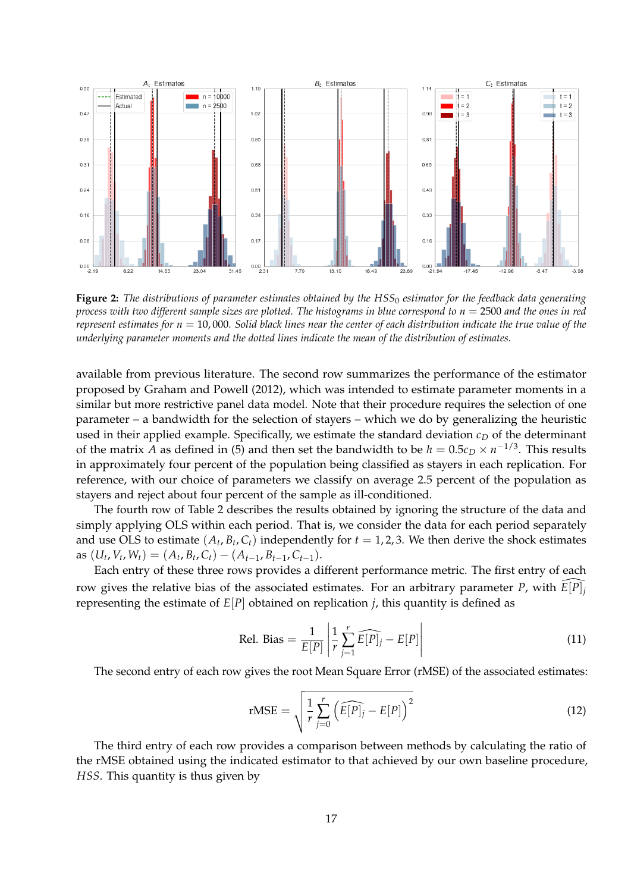

**Figure 2:** *The distributions of parameter estimates obtained by the HSS*<sup>0</sup> *estimator for the feedback data generating process with two different sample sizes are plotted. The histograms in blue correspond to n* = 2500 *and the ones in red represent estimates for n* = 10, 000*. Solid black lines near the center of each distribution indicate the true value of the underlying parameter moments and the dotted lines indicate the mean of the distribution of estimates.*

available from previous literature. The second row summarizes the performance of the estimator proposed by Graham and Powell (2012), which was intended to estimate parameter moments in a similar but more restrictive panel data model. Note that their procedure requires the selection of one parameter – a bandwidth for the selection of stayers – which we do by generalizing the heuristic used in their applied example. Specifically, we estimate the standard deviation  $c<sub>D</sub>$  of the determinant of the matrix *A* as defined in (5) and then set the bandwidth to be  $h = 0.5c_D \times n^{-1/3}$ . This results in approximately four percent of the population being classified as stayers in each replication. For reference, with our choice of parameters we classify on average 2.5 percent of the population as stayers and reject about four percent of the sample as ill-conditioned.

The fourth row of Table 2 describes the results obtained by ignoring the structure of the data and simply applying OLS within each period. That is, we consider the data for each period separately and use OLS to estimate  $(A_t, B_t, C_t)$  independently for  $t = 1, 2, 3$ . We then derive the shock estimates  $\text{as } (U_t, V_t, W_t) = (A_t, B_t, C_t) - (A_{t-1}, B_{t-1}, C_{t-1}).$ 

Each entry of these three rows provides a different performance metric. The first entry of each row gives the relative bias of the associated estimates. For an arbitrary parameter *P*, with  $E[P]$ *j* representing the estimate of *E*[*P*] obtained on replication *j*, this quantity is defined as

$$
\text{Rel. Bias} = \frac{1}{E[P]} \left| \frac{1}{r} \sum_{j=1}^{r} \widehat{E[P]}_j - E[P] \right| \tag{11}
$$

The second entry of each row gives the root Mean Square Error (rMSE) of the associated estimates:

$$
rMSE = \sqrt{\frac{1}{r} \sum_{j=0}^{r} \left( \widehat{E[P]_j} - E[P] \right)^2}
$$
(12)

The third entry of each row provides a comparison between methods by calculating the ratio of the rMSE obtained using the indicated estimator to that achieved by our own baseline procedure, *HSS*. This quantity is thus given by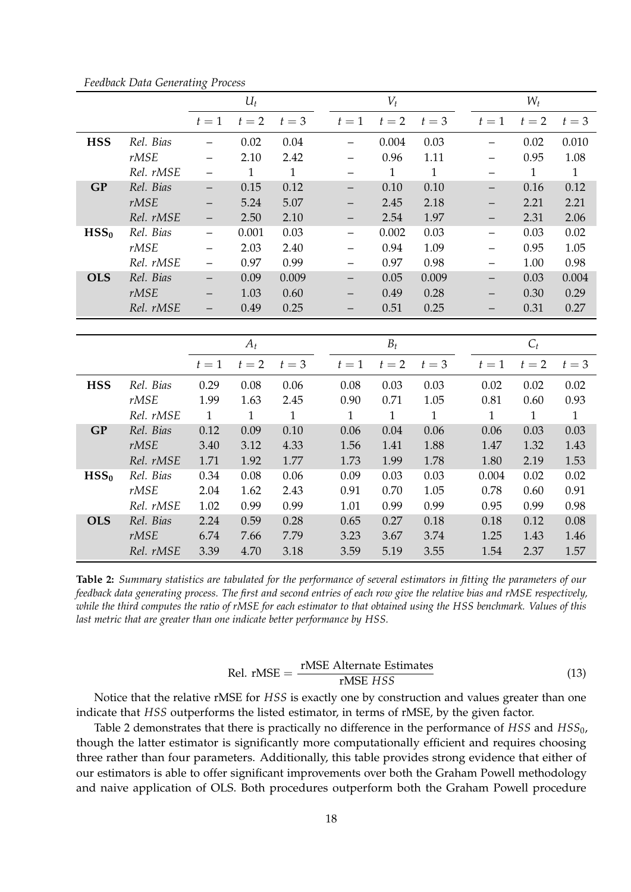|                  |           |                          | $U_t$ |              |                          | $V_t$        |              |       | $W_t$        |              |
|------------------|-----------|--------------------------|-------|--------------|--------------------------|--------------|--------------|-------|--------------|--------------|
|                  |           | $t=1$                    | $t=2$ | $t=3$        | $t=1$                    | $t=2$        | $t=3$        | $t=1$ | $t=2$        | $t=3$        |
| <b>HSS</b>       | Rel. Bias |                          | 0.02  | 0.04         | —                        | 0.004        | 0.03         |       | 0.02         | 0.010        |
|                  | rMSE      |                          | 2.10  | 2.42         |                          | 0.96         | 1.11         |       | 0.95         | 1.08         |
|                  | Rel. rMSE |                          | 1     | $\mathbf{1}$ |                          | $\mathbf{1}$ | $\mathbf{1}$ |       | $\mathbf{1}$ | $\mathbf{1}$ |
| <b>GP</b>        | Rel. Bias | —                        | 0.15  | 0.12         | —                        | 0.10         | 0.10         |       | 0.16         | 0.12         |
|                  | rMSE      | —                        | 5.24  | 5.07         | —                        | 2.45         | 2.18         |       | 2.21         | 2.21         |
|                  | Rel. rMSE |                          | 2.50  | 2.10         | —                        | 2.54         | 1.97         |       | 2.31         | 2.06         |
| HSS <sub>0</sub> | Rel. Bias |                          | 0.001 | 0.03         | $\overline{\phantom{0}}$ | 0.002        | 0.03         |       | 0.03         | 0.02         |
|                  | rMSE      | —                        | 2.03  | 2.40         | $\qquad \qquad -$        | 0.94         | 1.09         |       | 0.95         | 1.05         |
|                  | Rel. rMSE |                          | 0.97  | 0.99         |                          | 0.97         | 0.98         |       | 1.00         | 0.98         |
| <b>OLS</b>       | Rel. Bias | $\overline{\phantom{0}}$ | 0.09  | 0.009        | $\qquad \qquad -$        | 0.05         | 0.009        |       | 0.03         | 0.004        |
|                  | rMSE      |                          | 1.03  | 0.60         |                          | 0.49         | 0.28         |       | 0.30         | 0.29         |
|                  | Rel. rMSE |                          | 0.49  | 0.25         |                          | 0.51         | 0.25         |       | 0.31         | 0.27         |
|                  |           |                          |       |              |                          |              |              |       |              |              |
|                  |           |                          | $A_t$ |              |                          | $B_t$        |              |       | $C_t$        |              |
|                  |           | $t=1$                    | $t=2$ | $t=3$        | $t=1$                    | $t=2$        | $t=3$        | $t=1$ | $t=2$        | $t=3$        |
| <b>HSS</b>       | Rel. Bias | 0.29                     | 0.08  | 0.06         | 0.08                     | 0.03         | 0.03         | 0.02  | 0.02         | 0.02         |
|                  | rMSE      | 1.99                     | 1.63  | 2.45         | 0.90                     | 0.71         | 1.05         | 0.81  | 0.60         | 0.93         |

*Feedback Data Generating Process*

| GP               | Rel. Bias | 0.12 | 0.09 | 0.10 | 0.06 | 0.04 | 0.06 | 0.06  | 0.03 | 0.03 |
|------------------|-----------|------|------|------|------|------|------|-------|------|------|
|                  | rMSE      | 3.40 | 3.12 | 4.33 | 1.56 | 1.41 | 1.88 | 1.47  | 1.32 | 1.43 |
|                  | Rel. rMSE | 1.71 | 1.92 | 1.77 | 1.73 | 1.99 | 1.78 | 1.80  | 2.19 | 1.53 |
| HSS <sub>0</sub> | Rel. Bias | 0.34 | 0.08 | 0.06 | 0.09 | 0.03 | 0.03 | 0.004 | 0.02 | 0.02 |
|                  | rMSE      | 2.04 | 1.62 | 2.43 | 0.91 | 0.70 | 1.05 | 0.78  | 0.60 | 0.91 |
|                  | Rel. rMSE | 1.02 | 0.99 | 0.99 | 1.01 | 0.99 | 0.99 | 0.95  | 0.99 | 0.98 |
| <b>OLS</b>       | Rel. Bias | 2.24 | 0.59 | 0.28 | 0.65 | 0.27 | 0.18 | 0.18  | 0.12 | 0.08 |
|                  | rMSE      | 6.74 | 7.66 | 7.79 | 3.23 | 3.67 | 3.74 | 1.25  | 1.43 | 1.46 |
|                  | Rel. rMSE | 3.39 | 4.70 | 3.18 | 3.59 | 5.19 | 3.55 | 1.54  | 2.37 | 1.57 |
|                  |           |      |      |      |      |      |      |       |      |      |

*Rel. rMSE* 1 1 1 1 1 1 1 1 1

**Table 2:** *Summary statistics are tabulated for the performance of several estimators in fitting the parameters of our feedback data generating process. The first and second entries of each row give the relative bias and rMSE respectively, while the third computes the ratio of rMSE for each estimator to that obtained using the HSS benchmark. Values of this last metric that are greater than one indicate better performance by HSS.*

$$
Rel. rMSE = \frac{rMSE \text{ Alternative}}{rMSE \text{ HSS}}
$$
\n
$$
(13)
$$

Notice that the relative rMSE for *HSS* is exactly one by construction and values greater than one indicate that *HSS* outperforms the listed estimator, in terms of rMSE, by the given factor.

Table 2 demonstrates that there is practically no difference in the performance of *HSS* and *HSS*0, though the latter estimator is significantly more computationally efficient and requires choosing three rather than four parameters. Additionally, this table provides strong evidence that either of our estimators is able to offer significant improvements over both the Graham Powell methodology and naive application of OLS. Both procedures outperform both the Graham Powell procedure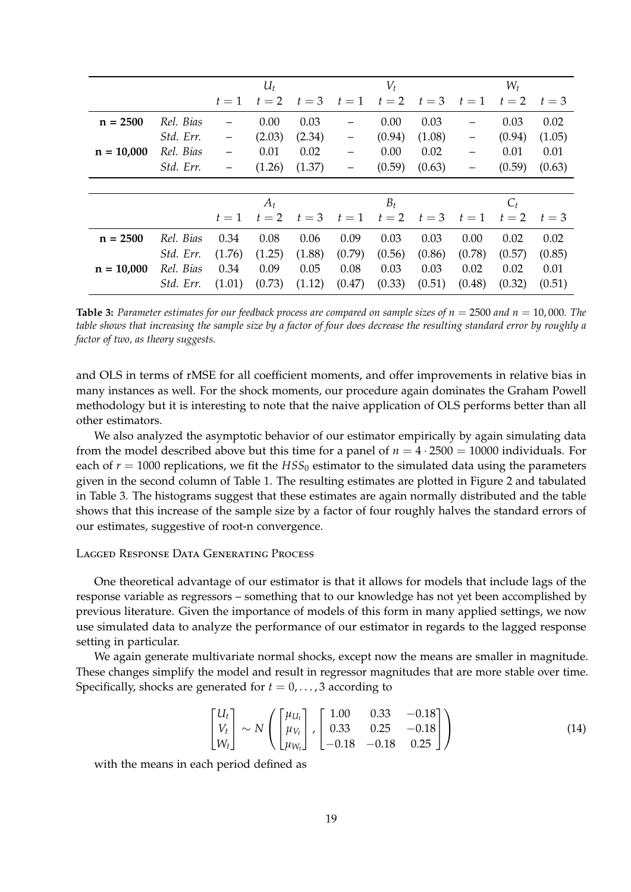|              |           |        | $U_t$  |        |                   | $V_t$  |        |                          | $W_t$  |        |  |
|--------------|-----------|--------|--------|--------|-------------------|--------|--------|--------------------------|--------|--------|--|
|              |           | $t=1$  | $t=2$  | $t=3$  | $t=1$             | $t=2$  | $t=3$  | $t=1$                    | $t=2$  | $t=3$  |  |
| $n = 2500$   | Rel. Bias |        | 0.00   | 0.03   | -                 | 0.00   | 0.03   |                          | 0.03   | 0.02   |  |
|              | Std. Err. |        | (2.03) | (2.34) | -                 | (0.94) | (1.08) |                          | (0.94) | (1.05) |  |
| $n = 10,000$ | Rel. Bias |        | 0.01   | 0.02   | $\qquad \qquad -$ | 0.00   | 0.02   | $\overline{\phantom{0}}$ | 0.01   | 0.01   |  |
|              | Std. Err. |        | (1.26) | (1.37) | —                 | (0.59) | (0.63) | $\overline{\phantom{0}}$ | (0.59) | (0.63) |  |
|              |           |        |        |        |                   |        |        |                          |        |        |  |
|              |           | $A_t$  |        |        |                   | $B_t$  |        | $C_t$                    |        |        |  |
|              |           | $t=1$  | $t=2$  | $t=3$  | $t=1$             | $t=2$  | $t=3$  | $t=1$                    | $t=2$  | $t=3$  |  |
| $n = 2500$   | Rel. Bias | 0.34   | 0.08   | 0.06   | 0.09              | 0.03   | 0.03   | 0.00                     | 0.02   | 0.02   |  |
|              | Std. Err. | (1.76) | (1.25) | (1.88) | (0.79)            | (0.56) | (0.86) | (0.78)                   | (0.57) | (0.85) |  |
| $n = 10,000$ | Rel. Bias | 0.34   | 0.09   | 0.05   | 0.08              | 0.03   | 0.03   | 0.02                     | 0.02   | 0.01   |  |
|              | Std. Err. | (1.01) | (0.73) | (1.12) | (0.47)            | (0.33) | (0.51) | (0.48)                   | (0.32) | (0.51) |  |

**Table 3:** *Parameter estimates for our feedback process are compared on sample sizes of n* = 2500 *and n* = 10, 000*. The table shows that increasing the sample size by a factor of four does decrease the resulting standard error by roughly a factor of two, as theory suggests.*

and OLS in terms of rMSE for all coefficient moments, and offer improvements in relative bias in many instances as well. For the shock moments, our procedure again dominates the Graham Powell methodology but it is interesting to note that the naive application of OLS performs better than all other estimators.

We also analyzed the asymptotic behavior of our estimator empirically by again simulating data from the model described above but this time for a panel of  $n = 4 \cdot 2500 = 10000$  individuals. For each of  $r = 1000$  replications, we fit the  $HSS_0$  estimator to the simulated data using the parameters given in the second column of Table 1. The resulting estimates are plotted in Figure 2 and tabulated in Table 3. The histograms suggest that these estimates are again normally distributed and the table shows that this increase of the sample size by a factor of four roughly halves the standard errors of our estimates, suggestive of root-n convergence.

## Lagged Response Data Generating Process

One theoretical advantage of our estimator is that it allows for models that include lags of the response variable as regressors – something that to our knowledge has not yet been accomplished by previous literature. Given the importance of models of this form in many applied settings, we now use simulated data to analyze the performance of our estimator in regards to the lagged response setting in particular.

We again generate multivariate normal shocks, except now the means are smaller in magnitude. These changes simplify the model and result in regressor magnitudes that are more stable over time. Specifically, shocks are generated for  $t = 0, \ldots, 3$  according to

$$
\begin{bmatrix} U_t \\ V_t \\ W_t \end{bmatrix} \sim N \left( \begin{bmatrix} \mu_{U_t} \\ \mu_{V_t} \\ \mu_{W_t} \end{bmatrix}, \begin{bmatrix} 1.00 & 0.33 & -0.18 \\ 0.33 & 0.25 & -0.18 \\ -0.18 & -0.18 & 0.25 \end{bmatrix} \right)
$$
(14)

with the means in each period defined as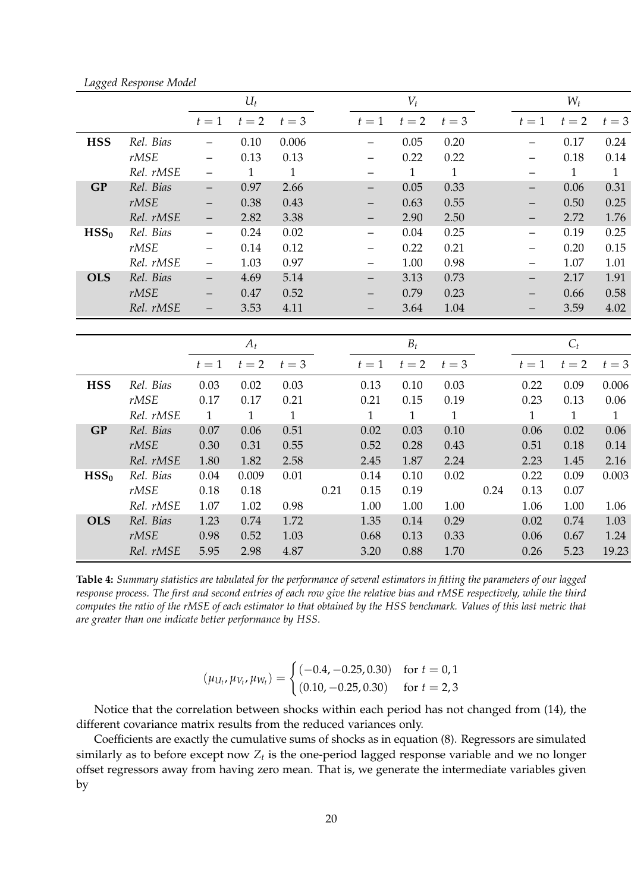|                  |           |                          | $U_t$        |              |      |                          | $V_t$        |              |      |                          | $W_t$        |              |
|------------------|-----------|--------------------------|--------------|--------------|------|--------------------------|--------------|--------------|------|--------------------------|--------------|--------------|
|                  |           | $t=1$                    | $t=2$        | $t=3$        |      | $t=1$                    | $t=2$        | $t=3$        |      | $t=1$                    | $t=2$        | $t=3$        |
| <b>HSS</b>       | Rel. Bias | -                        | 0.10         | 0.006        |      | $\overline{\phantom{0}}$ | 0.05         | 0.20         |      | —                        | 0.17         | 0.24         |
|                  | rMSE      |                          | 0.13         | 0.13         |      |                          | 0.22         | 0.22         |      |                          | $0.18\,$     | 0.14         |
|                  | Rel. rMSE | —                        | $\mathbf{1}$ | $\mathbf{1}$ |      |                          | $\mathbf{1}$ | $\mathbf{1}$ |      | —                        | $\mathbf{1}$ | $\mathbf{1}$ |
| <b>GP</b>        | Rel. Bias | $\qquad \qquad -$        | 0.97         | 2.66         |      | $\overline{\phantom{0}}$ | 0.05         | 0.33         |      | $\equiv$                 | 0.06         | 0.31         |
|                  | rMSE      |                          | 0.38         | 0.43         |      | —                        | 0.63         | 0.55         |      | $\qquad \qquad -$        | 0.50         | 0.25         |
|                  | Rel. rMSE | -                        | 2.82         | 3.38         |      | -                        | 2.90         | 2.50         |      | -                        | 2.72         | 1.76         |
| HSS <sub>0</sub> | Rel. Bias | $\overline{\phantom{0}}$ | 0.24         | 0.02         |      | $\qquad \qquad -$        | 0.04         | 0.25         |      | $\qquad \qquad -$        | 0.19         | 0.25         |
|                  | rMSE      |                          | 0.14         | 0.12         |      | $\qquad \qquad -$        | 0.22         | 0.21         |      | —                        | 0.20         | 0.15         |
|                  | Rel. rMSE | $\overline{\phantom{0}}$ | 1.03         | 0.97         |      | $\qquad \qquad -$        | 1.00         | 0.98         |      | $\overline{\phantom{0}}$ | 1.07         | 1.01         |
| <b>OLS</b>       | Rel. Bias | $-$                      | 4.69         | 5.14         |      |                          | 3.13         | 0.73         |      |                          | 2.17         | 1.91         |
|                  | rMSE      |                          | 0.47         | 0.52         |      |                          | 0.79         | 0.23         |      | —                        | 0.66         | 0.58         |
|                  | Rel. rMSE | -                        | 3.53         | 4.11         |      | $\qquad \qquad -$        | 3.64         | 1.04         |      | —                        | 3.59         | 4.02         |
|                  |           |                          |              |              |      |                          |              |              |      |                          |              |              |
|                  |           |                          | $A_t$        |              |      |                          | $B_t$        |              |      |                          | $C_t$        |              |
|                  |           | $t=1$                    | $t=2$        | $t=3$        |      | $t=1$                    | $t=2$        | $t=3$        |      | $t=1$                    | $t=2$        | $t=3$        |
| <b>HSS</b>       | Rel. Bias | 0.03                     | 0.02         | 0.03         |      | 0.13                     | 0.10         | 0.03         |      | 0.22                     | 0.09         | 0.006        |
|                  | rMSE      | 0.17                     | 0.17         | 0.21         |      | 0.21                     | 0.15         | 0.19         |      | 0.23                     | 0.13         | 0.06         |
|                  | Rel. rMSE | $\mathbf{1}$             | $\mathbf{1}$ | $\mathbf{1}$ |      | $\mathbf{1}$             | $\mathbf{1}$ | $\mathbf{1}$ |      | $\mathbf{1}$             | $\mathbf{1}$ | $\mathbf{1}$ |
| <b>GP</b>        | Rel. Bias | 0.07                     | 0.06         | 0.51         |      | 0.02                     | 0.03         | 0.10         |      | 0.06                     | 0.02         | 0.06         |
|                  | rMSE      | 0.30                     | 0.31         | 0.55         |      | 0.52                     | 0.28         | 0.43         |      | 0.51                     | 0.18         | 0.14         |
|                  | Rel. rMSE | 1.80                     | 1.82         | 2.58         |      | 2.45                     | 1.87         | 2.24         |      | 2.23                     | 1.45         | 2.16         |
| HSS <sub>0</sub> | Rel. Bias | 0.04                     | 0.009        | 0.01         |      | 0.14                     | 0.10         | 0.02         |      | 0.22                     | 0.09         | 0.003        |
|                  | rMSE      | 0.18                     | 0.18         |              | 0.21 | 0.15                     | 0.19         |              | 0.24 | 0.13                     | 0.07         |              |
|                  | Rel. rMSE | 1.07                     | 1.02         | 0.98         |      | 1.00                     | 1.00         | 1.00         |      | 1.06                     | 1.00         | 1.06         |

*Lagged Response Model*

**Table 4:** *Summary statistics are tabulated for the performance of several estimators in fitting the parameters of our lagged response process. The first and second entries of each row give the relative bias and rMSE respectively, while the third computes the ratio of the rMSE of each estimator to that obtained by the HSS benchmark. Values of this last metric that are greater than one indicate better performance by HSS.*

**OLS** *Rel. Bias* 1.23 0.74 1.72 1.35 0.14 0.29 0.02 0.74 1.03

*rMSE* 0.98 0.52 1.03 0.68 0.13 0.33 0.06 0.67 1.24 *Rel. rMSE* 5.95 2.98 4.87 3.20 0.88 1.70 0.26 5.23 19.23

$$
(\mu_{U_t}, \mu_{V_t}, \mu_{W_t}) = \begin{cases} (-0.4, -0.25, 0.30) & \text{for } t = 0, 1\\ (0.10, -0.25, 0.30) & \text{for } t = 2, 3 \end{cases}
$$

Notice that the correlation between shocks within each period has not changed from (14), the different covariance matrix results from the reduced variances only.

Coefficients are exactly the cumulative sums of shocks as in equation (8). Regressors are simulated similarly as to before except now  $Z_t$  is the one-period lagged response variable and we no longer offset regressors away from having zero mean. That is, we generate the intermediate variables given by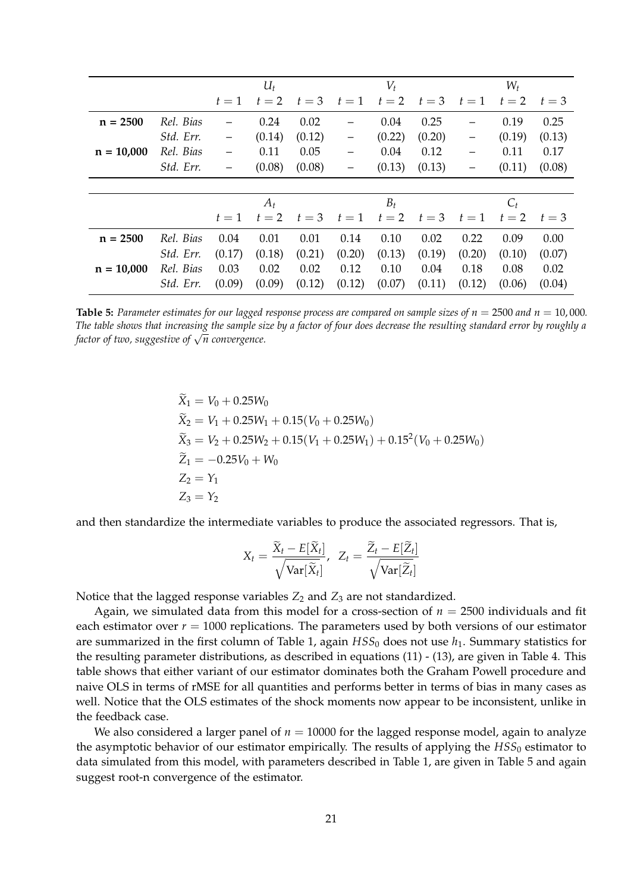|              |           |        | $U_t$  |        |                   | $V_t$  |        |        | $W_t$  |        |  |
|--------------|-----------|--------|--------|--------|-------------------|--------|--------|--------|--------|--------|--|
|              |           | $t=1$  | $t=2$  | $t=3$  | $t=1$             | $t=2$  | $t=3$  | $t=1$  | $t=2$  | $t=3$  |  |
| $n = 2500$   | Rel. Bias |        | 0.24   | 0.02   |                   | 0.04   | 0.25   |        | 0.19   | 0.25   |  |
|              | Std. Err. |        | (0.14) | (0.12) | -                 | (0.22) | (0.20) |        | (0.19) | (0.13) |  |
| $n = 10,000$ | Rel. Bias |        | 0.11   | 0.05   | $\qquad \qquad -$ | 0.04   | 0.12   | -      | 0.11   | 0.17   |  |
|              | Std. Err. |        | (0.08) | (0.08) | —                 | (0.13) | (0.13) |        | (0.11) | (0.08) |  |
|              |           |        |        |        |                   |        |        |        |        |        |  |
|              |           | $A_t$  |        |        |                   | $B_t$  |        | $C_t$  |        |        |  |
|              |           | $t=1$  | $t=2$  | $t=3$  | $t=1$             | $t=2$  | $t=3$  | $t=1$  | $t=2$  | $t=3$  |  |
| $n = 2500$   | Rel. Bias | 0.04   | 0.01   | 0.01   | 0.14              | 0.10   | 0.02   | 0.22   | 0.09   | 0.00   |  |
|              | Std. Err. | (0.17) | (0.18) | (0.21) | (0.20)            | (0.13) | (0.19) | (0.20) | (0.10) | (0.07) |  |
| $n = 10,000$ | Rel. Bias | 0.03   | 0.02   | 0.02   | 0.12              | 0.10   | 0.04   | 0.18   | 0.08   | 0.02   |  |
|              | Std. Err. | (0.09) | (0.09) | (0.12) | (0.12)            | (0.07) | (0.11) | (0.12) | (0.06) | (0.04) |  |

**Table 5:** Parameter estimates for our lagged response process are compared on sample sizes of  $n = 2500$  and  $n = 10,000$ . *The table shows that increasing the sample size by a factor of four does decrease the resulting standard error by roughly a factor of two, suggestive of* <sup>√</sup> *n convergence.*

$$
\begin{aligned}\n\widetilde{X}_1 &= V_0 + 0.25W_0 \\
\widetilde{X}_2 &= V_1 + 0.25W_1 + 0.15(V_0 + 0.25W_0) \\
\widetilde{X}_3 &= V_2 + 0.25W_2 + 0.15(V_1 + 0.25W_1) + 0.15^2(V_0 + 0.25W_0) \\
\widetilde{Z}_1 &= -0.25V_0 + W_0 \\
Z_2 &= Y_1 \\
Z_3 &= Y_2\n\end{aligned}
$$

and then standardize the intermediate variables to produce the associated regressors. That is,

$$
X_t = \frac{\widetilde{X}_t - E[\widetilde{X}_t]}{\sqrt{\text{Var}[\widetilde{X}_t]}}, \ \ Z_t = \frac{\widetilde{Z}_t - E[\widetilde{Z}_t]}{\sqrt{\text{Var}[\widetilde{Z}_t]}}
$$

Notice that the lagged response variables  $Z_2$  and  $Z_3$  are not standardized.

Again, we simulated data from this model for a cross-section of *n* = 2500 individuals and fit each estimator over  $r = 1000$  replications. The parameters used by both versions of our estimator are summarized in the first column of Table 1, again  $HSS_0$  does not use  $h_1$ . Summary statistics for the resulting parameter distributions, as described in equations (11) - (13), are given in Table 4. This table shows that either variant of our estimator dominates both the Graham Powell procedure and naive OLS in terms of rMSE for all quantities and performs better in terms of bias in many cases as well. Notice that the OLS estimates of the shock moments now appear to be inconsistent, unlike in the feedback case.

We also considered a larger panel of  $n = 10000$  for the lagged response model, again to analyze the asymptotic behavior of our estimator empirically. The results of applying the  $HSS<sub>0</sub>$  estimator to data simulated from this model, with parameters described in Table 1, are given in Table 5 and again suggest root-n convergence of the estimator.